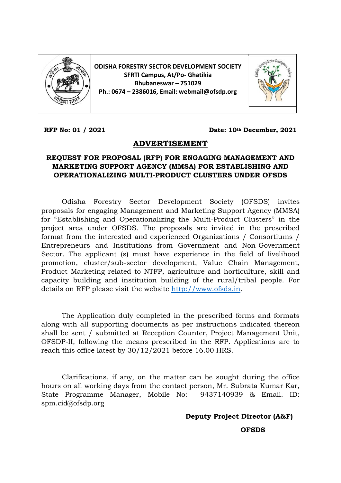

**ODISHA FORESTRY SECTOR DEVELOPMENT SOCIETY SFRTI Campus, At/Po- Ghatikia Bhubaneswar – 751029 Ph.: 0674 – 2386016, Email: webmail@ofsdp.org**



**RFP No: 01 / 2021 Date: 10th December, 2021**

### **ADVERTISEMENT**

### **REQUEST FOR PROPOSAL (RFP) FOR ENGAGING MANAGEMENT AND MARKETING SUPPORT AGENCY (MMSA) FOR ESTABLISHING AND OPERATIONALIZING MULTI-PRODUCT CLUSTERS UNDER OFSDS**

Odisha Forestry Sector Development Society (OFSDS) invites proposals for engaging Management and Marketing Support Agency (MMSA) for "Establishing and Operationalizing the Multi-Product Clusters" in the project area under OFSDS. The proposals are invited in the prescribed format from the interested and experienced Organizations / Consortiums / Entrepreneurs and Institutions from Government and Non-Government Sector. The applicant (s) must have experience in the field of livelihood promotion, cluster/sub-sector development, Value Chain Management, Product Marketing related to NTFP, agriculture and horticulture, skill and capacity building and institution building of the rural/tribal people. For details on RFP please visit the website [http://www.ofsds.in.](http://www.ofsds.in/)

The Application duly completed in the prescribed forms and formats along with all supporting documents as per instructions indicated thereon shall be sent / submitted at Reception Counter, Project Management Unit, OFSDP-II, following the means prescribed in the RFP. Applications are to reach this office latest by 30/12/2021 before 16.00 HRS.

Clarifications, if any, on the matter can be sought during the office hours on all working days from the contact person, Mr. Subrata Kumar Kar, State Programme Manager, Mobile No: 9437140939 & Email. ID: spm.cid@ofsdp.org

### **Deputy Project Director (A&F)**

**OFSDS**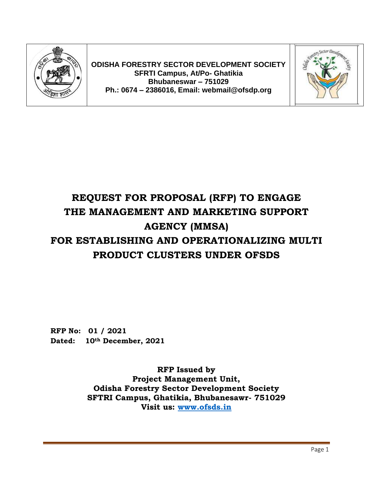

**ODISHA FORESTRY SECTOR DEVELOPMENT SOCIETY SFRTI Campus, At/Po- Ghatikia Bhubaneswar – 751029 Ph.: 0674 – 2386016, Email: webmail@ofsdp.org**



# **REQUEST FOR PROPOSAL (RFP) TO ENGAGE THE MANAGEMENT AND MARKETING SUPPORT AGENCY (MMSA) FOR ESTABLISHING AND OPERATIONALIZING MULTI PRODUCT CLUSTERS UNDER OFSDS**

**RFP No: 01 / 2021 Dated: 10th December, 2021**

> **RFP Issued by Project Management Unit, Odisha Forestry Sector Development Society SFTRI Campus, Ghatikia, Bhubanesawr- 751029 Visit us: [www.ofsds.in](http://www.ofsds.in/)**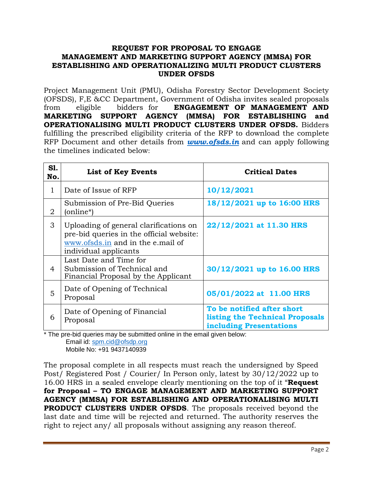#### **REQUEST FOR PROPOSAL TO ENGAGE MANAGEMENT AND MARKETING SUPPORT AGENCY (MMSA) FOR ESTABLISHING AND OPERATIONALIZING MULTI PRODUCT CLUSTERS UNDER OFSDS**

Project Management Unit (PMU), Odisha Forestry Sector Development Society (OFSDS), F,E &CC Department, Government of Odisha invites sealed proposals from eligible bidders for **ENGAGEMENT OF MANAGEMENT AND MARKETING SUPPORT AGENCY (MMSA) FOR ESTABLISHING and OPERATIONALISING MULTI PRODUCT CLUSTERS UNDER OFSDS.** Bidders fulfilling the prescribed eligibility criteria of the RFP to download the complete RFP Document and other details from *[www.ofsds.in](http://www.ofsds.in/)* and can apply following the timelines indicated below:

| <b>S1.</b><br>No. | <b>List of Key Events</b>                                                                                                                        | <b>Critical Dates</b>                                                                           |
|-------------------|--------------------------------------------------------------------------------------------------------------------------------------------------|-------------------------------------------------------------------------------------------------|
| $\mathbf{1}$      | Date of Issue of RFP                                                                                                                             | 10/12/2021                                                                                      |
| 2                 | Submission of Pre-Bid Queries<br>(online*)                                                                                                       | 18/12/2021 up to 16:00 HRS                                                                      |
| 3                 | Uploading of general clarifications on<br>pre-bid queries in the official website:<br>www.ofsds.in and in the e.mail of<br>individual applicants | 22/12/2021 at 11.30 HRS                                                                         |
| 4                 | Last Date and Time for<br>Submission of Technical and<br>Financial Proposal by the Applicant                                                     | 30/12/2021 up to 16.00 HRS                                                                      |
| 5                 | Date of Opening of Technical<br>Proposal                                                                                                         | 05/01/2022 at 11.00 HRS                                                                         |
| 6                 | Date of Opening of Financial<br>Proposal                                                                                                         | To be notified after short<br>listing the Technical Proposals<br><b>including Presentations</b> |

\* The pre-bid queries may be submitted online in the email given below:

Email id: [spm.cid@ofsdp.org](mailto:spm.cid@ofsdp.org) Mobile No: +91 9437140939

The proposal complete in all respects must reach the undersigned by Speed Post/ Registered Post / Courier/ In Person only, latest by 30/12/2022 up to 16.00 HRS in a sealed envelope clearly mentioning on the top of it "**Request for Proposal – TO ENGAGE MANAGEMENT AND MARKETING SUPPORT AGENCY (MMSA) FOR ESTABLISHING AND OPERATIONALISING MULTI PRODUCT CLUSTERS UNDER OFSDS**. The proposals received beyond the last date and time will be rejected and returned. The authority reserves the right to reject any/ all proposals without assigning any reason thereof.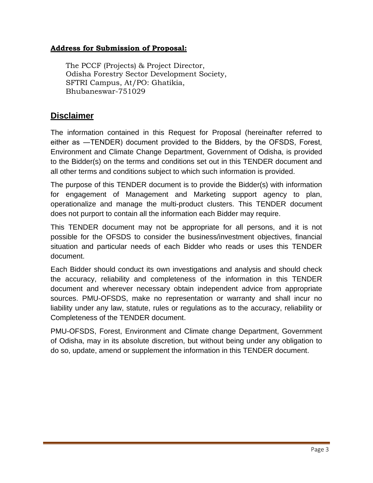### **Address for Submission of Proposal:**

The PCCF (Projects) & Project Director, Odisha Forestry Sector Development Society, SFTRI Campus, At/PO: Ghatikia, Bhubaneswar-751029

### **Disclaimer**

The information contained in this Request for Proposal (hereinafter referred to either as ―TENDER) document provided to the Bidders, by the OFSDS, Forest, Environment and Climate Change Department, Government of Odisha, is provided to the Bidder(s) on the terms and conditions set out in this TENDER document and all other terms and conditions subject to which such information is provided.

The purpose of this TENDER document is to provide the Bidder(s) with information for engagement of Management and Marketing support agency to plan, operationalize and manage the multi-product clusters. This TENDER document does not purport to contain all the information each Bidder may require.

This TENDER document may not be appropriate for all persons, and it is not possible for the OFSDS to consider the business/investment objectives, financial situation and particular needs of each Bidder who reads or uses this TENDER document.

Each Bidder should conduct its own investigations and analysis and should check the accuracy, reliability and completeness of the information in this TENDER document and wherever necessary obtain independent advice from appropriate sources. PMU-OFSDS, make no representation or warranty and shall incur no liability under any law, statute, rules or regulations as to the accuracy, reliability or Completeness of the TENDER document.

PMU-OFSDS, Forest, Environment and Climate change Department, Government of Odisha, may in its absolute discretion, but without being under any obligation to do so, update, amend or supplement the information in this TENDER document.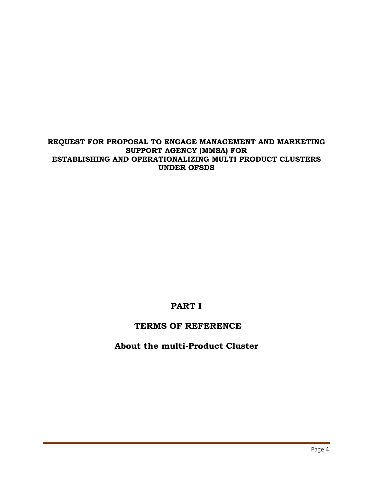**REQUEST FOR PROPOSAL TO ENGAGE MANAGEMENT AND MARKETING SUPPORT AGENCY (MMSA) FOR ESTABLISHING AND OPERATIONALIZING MULTI PRODUCT CLUSTERS UNDER OFSDS**

### **PART I**

### **TERMS OF REFERENCE**

### **About the multi-Product Cluster**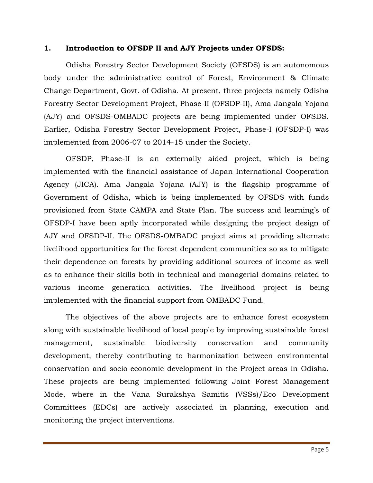#### **1. Introduction to OFSDP II and AJY Projects under OFSDS:**

Odisha Forestry Sector Development Society (OFSDS) is an autonomous body under the administrative control of Forest, Environment & Climate Change Department, Govt. of Odisha. At present, three projects namely Odisha Forestry Sector Development Project, Phase-II (OFSDP-II), Ama Jangala Yojana (AJY) and OFSDS-OMBADC projects are being implemented under OFSDS. Earlier, Odisha Forestry Sector Development Project, Phase-I (OFSDP-I) was implemented from 2006-07 to 2014-15 under the Society.

OFSDP, Phase-II is an externally aided project, which is being implemented with the financial assistance of Japan International Cooperation Agency (JICA). Ama Jangala Yojana (AJY) is the flagship programme of Government of Odisha, which is being implemented by OFSDS with funds provisioned from State CAMPA and State Plan. The success and learning's of OFSDP-I have been aptly incorporated while designing the project design of AJY and OFSDP-II. The OFSDS-OMBADC project aims at providing alternate livelihood opportunities for the forest dependent communities so as to mitigate their dependence on forests by providing additional sources of income as well as to enhance their skills both in technical and managerial domains related to various income generation activities. The livelihood project is being implemented with the financial support from OMBADC Fund.

The objectives of the above projects are to enhance forest ecosystem along with sustainable livelihood of local people by improving sustainable forest management, sustainable biodiversity conservation and community development, thereby contributing to harmonization between environmental conservation and socio-economic development in the Project areas in Odisha. These projects are being implemented following Joint Forest Management Mode, where in the Vana Surakshya Samitis (VSSs)/Eco Development Committees (EDCs) are actively associated in planning, execution and monitoring the project interventions.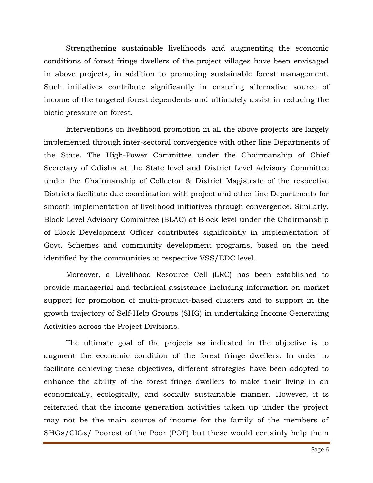Strengthening sustainable livelihoods and augmenting the economic conditions of forest fringe dwellers of the project villages have been envisaged in above projects, in addition to promoting sustainable forest management. Such initiatives contribute significantly in ensuring alternative source of income of the targeted forest dependents and ultimately assist in reducing the biotic pressure on forest.

Interventions on livelihood promotion in all the above projects are largely implemented through inter-sectoral convergence with other line Departments of the State. The High-Power Committee under the Chairmanship of Chief Secretary of Odisha at the State level and District Level Advisory Committee under the Chairmanship of Collector & District Magistrate of the respective Districts facilitate due coordination with project and other line Departments for smooth implementation of livelihood initiatives through convergence. Similarly, Block Level Advisory Committee (BLAC) at Block level under the Chairmanship of Block Development Officer contributes significantly in implementation of Govt. Schemes and community development programs, based on the need identified by the communities at respective VSS/EDC level.

Moreover, a Livelihood Resource Cell (LRC) has been established to provide managerial and technical assistance including information on market support for promotion of multi-product-based clusters and to support in the growth trajectory of Self-Help Groups (SHG) in undertaking Income Generating Activities across the Project Divisions.

The ultimate goal of the projects as indicated in the objective is to augment the economic condition of the forest fringe dwellers. In order to facilitate achieving these objectives, different strategies have been adopted to enhance the ability of the forest fringe dwellers to make their living in an economically, ecologically, and socially sustainable manner. However, it is reiterated that the income generation activities taken up under the project may not be the main source of income for the family of the members of SHGs/CIGs/ Poorest of the Poor (POP) but these would certainly help them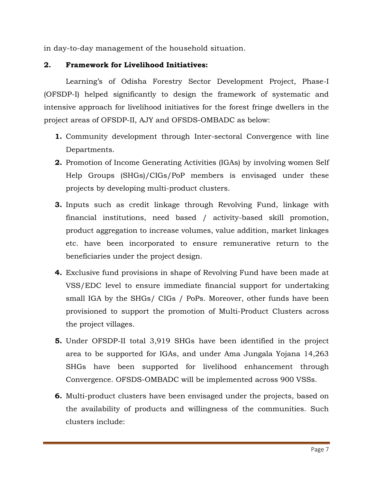in day-to-day management of the household situation.

### **2. Framework for Livelihood Initiatives:**

Learning's of Odisha Forestry Sector Development Project, Phase-I (OFSDP-I) helped significantly to design the framework of systematic and intensive approach for livelihood initiatives for the forest fringe dwellers in the project areas of OFSDP-II, AJY and OFSDS-OMBADC as below:

- **1.** Community development through Inter-sectoral Convergence with line Departments.
- **2.** Promotion of Income Generating Activities (IGAs) by involving women Self Help Groups (SHGs)/CIGs/PoP members is envisaged under these projects by developing multi-product clusters.
- **3.** Inputs such as credit linkage through Revolving Fund, linkage with financial institutions, need based / activity-based skill promotion, product aggregation to increase volumes, value addition, market linkages etc. have been incorporated to ensure remunerative return to the beneficiaries under the project design.
- **4.** Exclusive fund provisions in shape of Revolving Fund have been made at VSS/EDC level to ensure immediate financial support for undertaking small IGA by the SHGs/ CIGs / PoPs. Moreover, other funds have been provisioned to support the promotion of Multi-Product Clusters across the project villages.
- **5.** Under OFSDP-II total 3,919 SHGs have been identified in the project area to be supported for IGAs, and under Ama Jungala Yojana 14,263 SHGs have been supported for livelihood enhancement through Convergence. OFSDS-OMBADC will be implemented across 900 VSSs.
- **6.** Multi-product clusters have been envisaged under the projects, based on the availability of products and willingness of the communities. Such clusters include: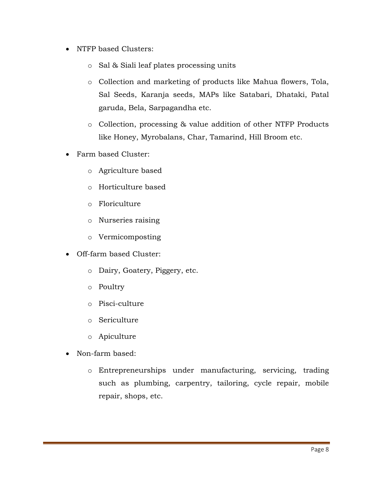- NTFP based Clusters:
	- o Sal & Siali leaf plates processing units
	- o Collection and marketing of products like Mahua flowers, Tola, Sal Seeds, Karanja seeds, MAPs like Satabari, Dhataki, Patal garuda, Bela, Sarpagandha etc.
	- o Collection, processing & value addition of other NTFP Products like Honey, Myrobalans, Char, Tamarind, Hill Broom etc.
- Farm based Cluster:
	- o Agriculture based
	- o Horticulture based
	- o Floriculture
	- o Nurseries raising
	- o Vermicomposting
- Off-farm based Cluster:
	- o Dairy, Goatery, Piggery, etc.
	- o Poultry
	- o Pisci-culture
	- o Sericulture
	- o Apiculture
- Non-farm based:
	- o Entrepreneurships under manufacturing, servicing, trading such as plumbing, carpentry, tailoring, cycle repair, mobile repair, shops, etc.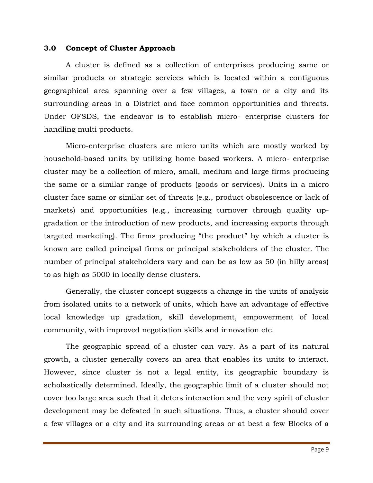#### **3.0 Concept of Cluster Approach**

A cluster is defined as a collection of enterprises producing same or similar products or strategic services which is located within a contiguous geographical area spanning over a few villages, a town or a city and its surrounding areas in a District and face common opportunities and threats. Under OFSDS, the endeavor is to establish micro- enterprise clusters for handling multi products.

Micro-enterprise clusters are micro units which are mostly worked by household-based units by utilizing home based workers. A micro- enterprise cluster may be a collection of micro, small, medium and large firms producing the same or a similar range of products (goods or services). Units in a micro cluster face same or similar set of threats (e.g., product obsolescence or lack of markets) and opportunities (e.g., increasing turnover through quality upgradation or the introduction of new products, and increasing exports through targeted marketing). The firms producing "the product" by which a cluster is known are called principal firms or principal stakeholders of the cluster. The number of principal stakeholders vary and can be as low as 50 (in hilly areas) to as high as 5000 in locally dense clusters.

Generally, the cluster concept suggests a change in the units of analysis from isolated units to a network of units, which have an advantage of effective local knowledge up gradation, skill development, empowerment of local community, with improved negotiation skills and innovation etc.

The geographic spread of a cluster can vary. As a part of its natural growth, a cluster generally covers an area that enables its units to interact. However, since cluster is not a legal entity, its geographic boundary is scholastically determined. Ideally, the geographic limit of a cluster should not cover too large area such that it deters interaction and the very spirit of cluster development may be defeated in such situations. Thus, a cluster should cover a few villages or a city and its surrounding areas or at best a few Blocks of a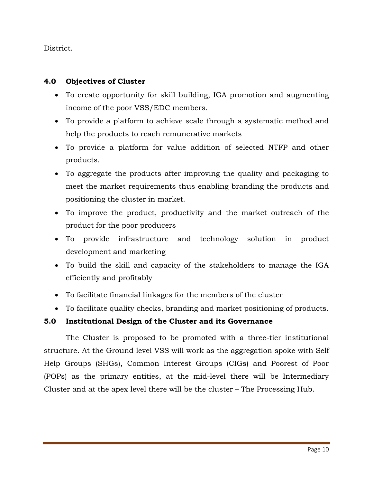District.

### **4.0 Objectives of Cluster**

- To create opportunity for skill building, IGA promotion and augmenting income of the poor VSS/EDC members.
- To provide a platform to achieve scale through a systematic method and help the products to reach remunerative markets
- To provide a platform for value addition of selected NTFP and other products.
- To aggregate the products after improving the quality and packaging to meet the market requirements thus enabling branding the products and positioning the cluster in market.
- To improve the product, productivity and the market outreach of the product for the poor producers
- To provide infrastructure and technology solution in product development and marketing
- To build the skill and capacity of the stakeholders to manage the IGA efficiently and profitably
- To facilitate financial linkages for the members of the cluster
- To facilitate quality checks, branding and market positioning of products.

### **5.0 Institutional Design of the Cluster and its Governance**

The Cluster is proposed to be promoted with a three-tier institutional structure. At the Ground level VSS will work as the aggregation spoke with Self Help Groups (SHGs), Common Interest Groups (CIGs) and Poorest of Poor (POPs) as the primary entities, at the mid-level there will be Intermediary Cluster and at the apex level there will be the cluster – The Processing Hub.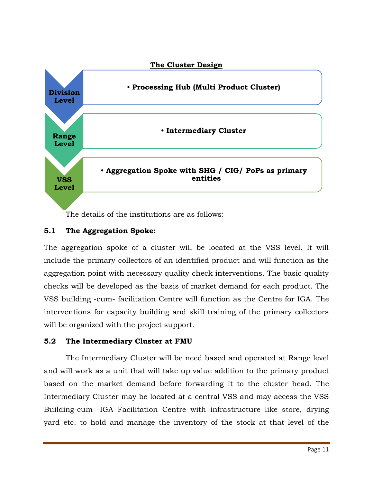

The details of the institutions are as follows:

### **5.1 The Aggregation Spoke:**

The aggregation spoke of a cluster will be located at the VSS level. It will include the primary collectors of an identified product and will function as the aggregation point with necessary quality check interventions. The basic quality checks will be developed as the basis of market demand for each product. The VSS building -cum- facilitation Centre will function as the Centre for IGA. The interventions for capacity building and skill training of the primary collectors will be organized with the project support.

### **5.2 The Intermediary Cluster at FMU**

The Intermediary Cluster will be need based and operated at Range level and will work as a unit that will take up value addition to the primary product based on the market demand before forwarding it to the cluster head. The Intermediary Cluster may be located at a central VSS and may access the VSS Building-cum -IGA Facilitation Centre with infrastructure like store, drying yard etc. to hold and manage the inventory of the stock at that level of the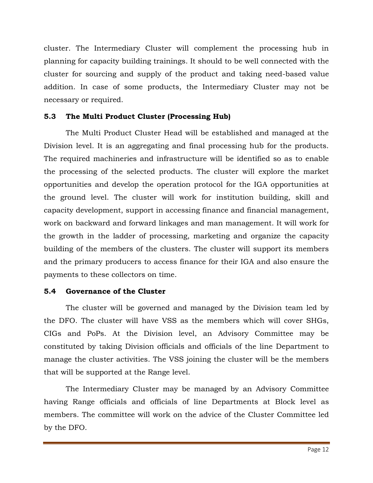cluster. The Intermediary Cluster will complement the processing hub in planning for capacity building trainings. It should to be well connected with the cluster for sourcing and supply of the product and taking need-based value addition. In case of some products, the Intermediary Cluster may not be necessary or required.

### **5.3 The Multi Product Cluster (Processing Hub)**

The Multi Product Cluster Head will be established and managed at the Division level. It is an aggregating and final processing hub for the products. The required machineries and infrastructure will be identified so as to enable the processing of the selected products. The cluster will explore the market opportunities and develop the operation protocol for the IGA opportunities at the ground level. The cluster will work for institution building, skill and capacity development, support in accessing finance and financial management, work on backward and forward linkages and man management. It will work for the growth in the ladder of processing, marketing and organize the capacity building of the members of the clusters. The cluster will support its members and the primary producers to access finance for their IGA and also ensure the payments to these collectors on time.

### **5.4 Governance of the Cluster**

The cluster will be governed and managed by the Division team led by the DFO. The cluster will have VSS as the members which will cover SHGs, CIGs and PoPs. At the Division level, an Advisory Committee may be constituted by taking Division officials and officials of the line Department to manage the cluster activities. The VSS joining the cluster will be the members that will be supported at the Range level.

The Intermediary Cluster may be managed by an Advisory Committee having Range officials and officials of line Departments at Block level as members. The committee will work on the advice of the Cluster Committee led by the DFO.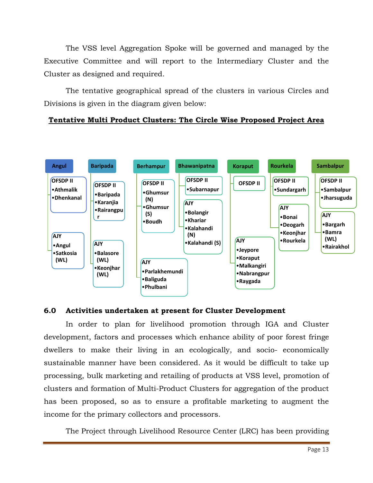The VSS level Aggregation Spoke will be governed and managed by the Executive Committee and will report to the Intermediary Cluster and the Cluster as designed and required.

The tentative geographical spread of the clusters in various Circles and Divisions is given in the diagram given below:

### **Tentative Multi Product Clusters: The Circle Wise Proposed Project Area**



#### **6.0 Activities undertaken at present for Cluster Development**

In order to plan for livelihood promotion through IGA and Cluster development, factors and processes which enhance ability of poor forest fringe dwellers to make their living in an ecologically, and socio- economically sustainable manner have been considered. As it would be difficult to take up processing, bulk marketing and retailing of products at VSS level, promotion of clusters and formation of Multi-Product Clusters for aggregation of the product has been proposed, so as to ensure a profitable marketing to augment the income for the primary collectors and processors.

The Project through Livelihood Resource Center (LRC) has been providing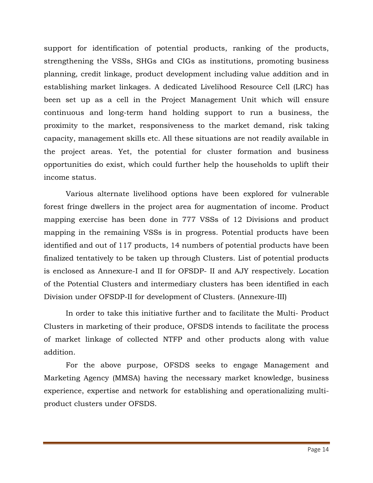support for identification of potential products, ranking of the products, strengthening the VSSs, SHGs and CIGs as institutions, promoting business planning, credit linkage, product development including value addition and in establishing market linkages. A dedicated Livelihood Resource Cell (LRC) has been set up as a cell in the Project Management Unit which will ensure continuous and long-term hand holding support to run a business, the proximity to the market, responsiveness to the market demand, risk taking capacity, management skills etc. All these situations are not readily available in the project areas. Yet, the potential for cluster formation and business opportunities do exist, which could further help the households to uplift their income status.

Various alternate livelihood options have been explored for vulnerable forest fringe dwellers in the project area for augmentation of income. Product mapping exercise has been done in 777 VSSs of 12 Divisions and product mapping in the remaining VSSs is in progress. Potential products have been identified and out of 117 products, 14 numbers of potential products have been finalized tentatively to be taken up through Clusters. List of potential products is enclosed as Annexure-I and II for OFSDP- II and AJY respectively. Location of the Potential Clusters and intermediary clusters has been identified in each Division under OFSDP-II for development of Clusters. (Annexure-III)

In order to take this initiative further and to facilitate the Multi- Product Clusters in marketing of their produce, OFSDS intends to facilitate the process of market linkage of collected NTFP and other products along with value addition.

For the above purpose, OFSDS seeks to engage Management and Marketing Agency (MMSA) having the necessary market knowledge, business experience, expertise and network for establishing and operationalizing multiproduct clusters under OFSDS.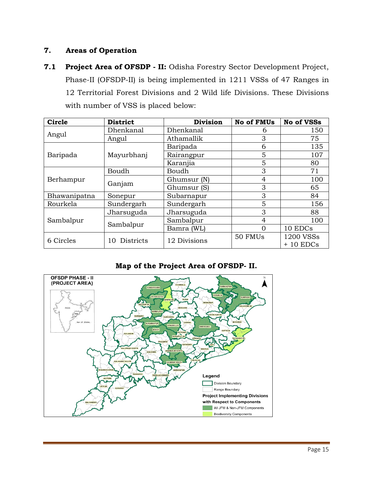### **7. Areas of Operation**

**7.1 Project Area of OFSDP - II:** Odisha Forestry Sector Development Project, Phase-II (OFSDP-II) is being implemented in 1211 VSSs of 47 Ranges in 12 Territorial Forest Divisions and 2 Wild life Divisions. These Divisions with number of VSS is placed below:

| <b>Circle</b> | <b>District</b>        | <b>Division</b> | <b>No of FMUs</b> | <b>No of VSSs</b>           |
|---------------|------------------------|-----------------|-------------------|-----------------------------|
|               | Dhenkanal              | Dhenkanal       | 6                 | 150                         |
| Angul         | Angul                  | Athamallik      | 3                 | 75                          |
|               |                        | Baripada        | 6                 | 135                         |
| Baripada      | Mayurbhanj             | Rairangpur      | 5                 | 107                         |
|               |                        | Karanjia        | 5                 | 80                          |
|               | Boudh                  | Boudh           | 3                 | 71                          |
| Berhampur     |                        | Ghumsur (N)     | 4                 | 100                         |
|               | Ganjam                 | Ghumsur (S)     | 3                 | 65                          |
| Bhawanipatna  | Sonepur                | Subarnapur      | 3                 | 84                          |
| Rourkela      | Sundergarh             | Sundergarh      | 5                 | 156                         |
|               | Jharsuguda             | Jharsuguda      | 3                 | 88                          |
| Sambalpur     | Sambalpur              | Sambalpur       | 4                 | 100                         |
|               |                        | Bamra (WL)      | 0                 | 10 EDCs                     |
| 6 Circles     | <b>Districts</b><br>10 | 12 Divisions    | 50 FMUs           | 1200 VSSs<br>10 EDCs<br>$+$ |

### **Map of the Project Area of OFSDP- II.**

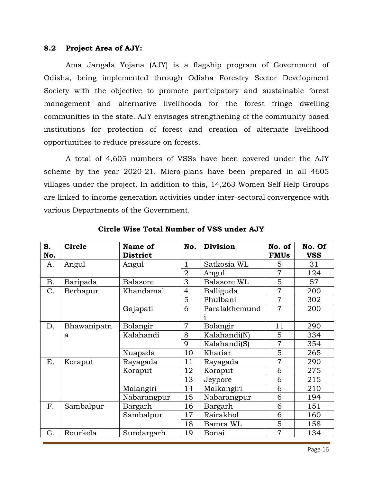#### **8.2 Project Area of AJY:**

Ama Jangala Yojana (AJY) is a flagship program of Government of Odisha, being implemented through Odisha Forestry Sector Development Society with the objective to promote participatory and sustainable forest management and alternative livelihoods for the forest fringe dwelling communities in the state. AJY envisages strengthening of the community based institutions for protection of forest and creation of alternate livelihood opportunities to reduce pressure on forests.

A total of 4,605 numbers of VSSs have been covered under the AJY scheme by the year 2020-21. Micro-plans have been prepared in all 4605 villages under the project. In addition to this, 14,263 Women Self Help Groups are linked to income generation activities under inter-sectoral convergence with various Departments of the Government.

| S.<br>No. | Circle      | Name of<br><b>District</b> | No.            | <b>Division</b>    | No. of<br><b>FMUs</b> | No. Of<br><b>VSS</b> |
|-----------|-------------|----------------------------|----------------|--------------------|-----------------------|----------------------|
| A.        | Angul       | Angul                      | $\mathbf{1}$   | Satkosia WL        | 5                     | 31                   |
|           |             |                            | $\overline{2}$ | Angul              | $\overline{7}$        | 124                  |
| Β.        | Baripada    | <b>Balasore</b>            | 3              | Balasore WL        | 5                     | 57                   |
| C.        | Berhapur    | Khandamal                  | $\overline{4}$ | Balliguda          | $\overline{7}$        | 200                  |
|           |             |                            | 5              | Phulbani           | $\overline{7}$        | 302                  |
|           |             | Gajapati                   | 6              | Paralakhemund<br>1 | $\overline{7}$        | 200                  |
| D.        | Bhawanipatn | Bolangir                   | 7              | Bolangir           | 11                    | 290                  |
|           | a           | Kalahandi                  | 8              | Kalahandi(N)       | 5                     | 334                  |
|           |             |                            | 9              | Kalahandi(S)       | $\overline{7}$        | 354                  |
|           |             | Nuapada                    | 10             | Khariar            | 5                     | 265                  |
| Е.        | Koraput     | Rayagada                   | 11             | Rayagada           | 7                     | 290                  |
|           |             | Koraput                    | 12             | Koraput            | 6                     | 275                  |
|           |             |                            | 13             | Jeypore            | 6                     | 215                  |
|           |             | Malangiri                  | 14             | Malkangiri         | 6                     | 210                  |
|           |             | Nabarangpur                | 15             | Nabarangpur        | 6                     | 194                  |
| F.        | Sambalpur   | Bargarh                    | 16             | Bargarh            | 6                     | 151                  |
|           |             | Sambalpur                  | 17             | Rairakhol          | 6                     | 160                  |
|           |             |                            | 18             | Bamra WL           | 5                     | 158                  |
| G.        | Rourkela    | Sundargarh                 | 19             | Bonai              | $\overline{7}$        | 134                  |

**Circle Wise Total Number of VSS under AJY**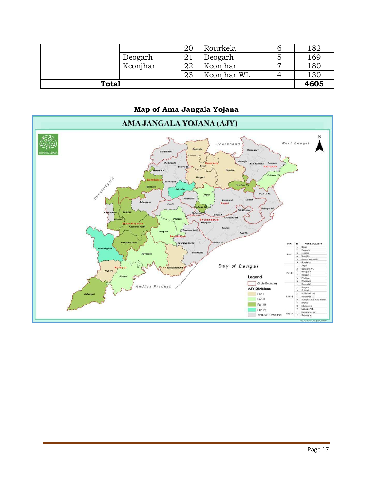|              |          | 20       | Rourkela    | 182  |
|--------------|----------|----------|-------------|------|
|              | Deogarh  |          | Deogarh     | 169  |
|              | Keonjhar | ററ<br>44 | Keonjhar    | 180  |
|              |          | 23       | Keonjhar WL | 130  |
| <b>Total</b> |          |          |             | 4605 |

**Map of Ama Jangala Yojana**

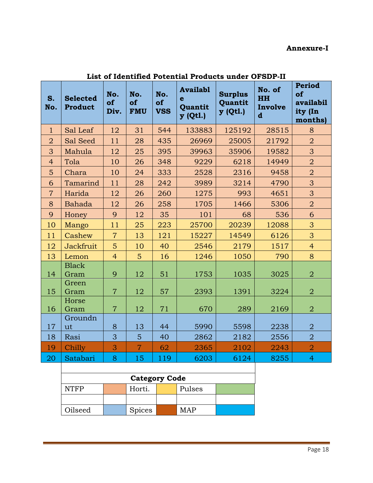### **Annexure-I**

| S.<br>No.      | <b>Selected</b><br><b>Product</b> | No.<br>of<br>Div. | No.<br>of<br><b>FMU</b> | No.<br>of<br><b>VSS</b> | <b>Availabl</b><br>e<br>Quantit<br>y (Qtl.) | <b>Surplus</b><br>Quantit<br>y (Qtl.) | No. of<br><b>HH</b><br>Involve<br>$\mathbf d$ | <b>Period</b><br>of<br><b>availabil</b><br>ity (In<br>months) |
|----------------|-----------------------------------|-------------------|-------------------------|-------------------------|---------------------------------------------|---------------------------------------|-----------------------------------------------|---------------------------------------------------------------|
| $\mathbf{1}$   | Sal Leaf                          | 12                | 31                      | 544                     | 133883                                      | 125192                                | 28515                                         | 8                                                             |
| $\overline{2}$ | Sal Seed                          | 11                | 28                      | 435                     | 26969                                       | 25005                                 | 21792                                         | $\overline{2}$                                                |
| 3              | Mahula                            | 12                | 25                      | 395                     | 39963                                       | 35906                                 | 19582                                         | 3                                                             |
| $\overline{4}$ | Tola                              | 10                | 26                      | 348                     | 9229                                        | 6218                                  | 14949                                         | $\overline{2}$                                                |
| 5              | Chara                             | 10                | 24                      | 333                     | 2528                                        | 2316                                  | 9458                                          | $\overline{2}$                                                |
| 6              | Tamarind                          | 11                | 28                      | 242                     | 3989                                        | 3214                                  | 4790                                          | 3                                                             |
| $\overline{7}$ | Harida                            | 12                | 26                      | 260                     | 1275                                        | 993                                   | 4651                                          | 3                                                             |
| 8              | Bahada                            | 12                | 26                      | 258                     | 1705                                        | 1466                                  | 5306                                          | $\overline{2}$                                                |
| 9              | Honey                             | 9                 | 12                      | 35                      | 101                                         | 68                                    | 536                                           | 6                                                             |
| 10             | Mango                             | 11                | 25                      | 223                     | 25700                                       | 20239                                 | 12088                                         | 3                                                             |
| 11             | Cashew                            | $\overline{7}$    | 13                      | 121                     | 15227                                       | 14549                                 | 6126                                          | 3                                                             |
| 12             | Jackfruit                         | 5                 | 10                      | 40                      | 2546                                        | 2179                                  | 1517                                          | $\overline{4}$                                                |
| 13             | Lemon                             | $\overline{4}$    | $\overline{5}$          | 16                      | 1246                                        | 1050                                  | 790                                           | 8                                                             |
| 14             | <b>Black</b><br>Gram              | 9                 | 12                      | 51                      | 1753                                        | 1035                                  | 3025                                          | $\overline{2}$                                                |
| 15             | Green<br>Gram                     | $\overline{7}$    | 12                      | 57                      | 2393                                        | 1391                                  | 3224                                          | $\overline{2}$                                                |
| 16             | Horse<br>Gram                     | $\overline{7}$    | 12                      | 71                      | 670                                         | 289                                   | 2169                                          | $\overline{2}$                                                |
| 17             | Groundn<br>ut                     | 8                 | 13                      | 44                      | 5990                                        | 5598                                  | 2238                                          | $\overline{2}$                                                |
| 18             | Rasi                              | 3                 | $\overline{5}$          | 40                      | 2862                                        | 2182                                  | 2556                                          | $\overline{2}$                                                |
| 19             | Chilly                            | 3                 | $\overline{7}$          | 62                      | 2365                                        | 2102                                  | 2243                                          | $\overline{2}$                                                |
| 20             | Satabari                          | 8                 | 15                      | 119                     | 6203                                        | 6124                                  | 8255                                          | $\overline{4}$                                                |
|                |                                   |                   |                         |                         |                                             |                                       |                                               |                                                               |

**List of Identified Potential Products under OFSDP-II** 

| <b>Category Code</b>            |  |  |  |  |  |  |  |  |
|---------------------------------|--|--|--|--|--|--|--|--|
| Horti.<br>NTFP<br>Pulses        |  |  |  |  |  |  |  |  |
|                                 |  |  |  |  |  |  |  |  |
| Oilseed<br><b>Spices</b><br>∦AÞ |  |  |  |  |  |  |  |  |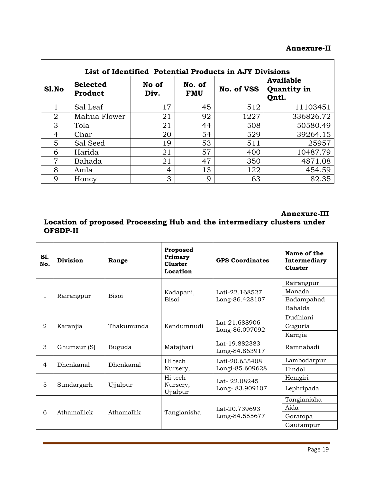### **Annexure-II**

|                | List of Identified Potential Products in AJY Divisions |               |                      |            |                                   |  |  |  |  |  |  |
|----------------|--------------------------------------------------------|---------------|----------------------|------------|-----------------------------------|--|--|--|--|--|--|
| S1.No          | <b>Selected</b><br>Product                             | No of<br>Div. | No. of<br><b>FMU</b> | No. of VSS | Available<br>Quantity in<br>Qntl. |  |  |  |  |  |  |
|                | Sal Leaf                                               | 17            | 45                   | 512        | 11103451                          |  |  |  |  |  |  |
| 2              | Mahua Flower                                           | 21            | 92                   | 1227       | 336826.72                         |  |  |  |  |  |  |
| 3              | Tola                                                   | 21            | 44                   | 508        | 50580.49                          |  |  |  |  |  |  |
| $\overline{4}$ | Char                                                   | 20            | 54                   | 529        | 39264.15                          |  |  |  |  |  |  |
| 5              | Sal Seed                                               | 19            | 53                   | 511        | 25957                             |  |  |  |  |  |  |
| 6              | Harida                                                 | 21            | 57                   | 400        | 10487.79                          |  |  |  |  |  |  |
| 7              | Bahada                                                 | 21            | 47                   | 350        | 4871.08                           |  |  |  |  |  |  |
| 8              | Amla                                                   | 4             | 13                   | 122        | 454.59                            |  |  |  |  |  |  |
| 9              | Honey                                                  | 3             | 9                    | 63         | 82.35                             |  |  |  |  |  |  |

 $\mathbf{r}$ 

**Annexure-III**

### **Location of proposed Processing Hub and the intermediary clusters under OFSDP-II**

| S1.<br>No.     | <b>Division</b>  | Range            | Proposed<br>Primary<br><b>Cluster</b><br>Location | <b>GPS Coordinates</b>          | Name of the<br>Intermediary<br><b>Cluster</b> |
|----------------|------------------|------------------|---------------------------------------------------|---------------------------------|-----------------------------------------------|
|                |                  |                  |                                                   |                                 | Rairangpur                                    |
| $\mathbf{1}$   |                  | Bisoi            | Kadapani,                                         | Lati-22.168527                  | Manada                                        |
|                | Rairangpur       |                  | <b>Bisoi</b>                                      | Long-86.428107                  | Badampahad                                    |
|                |                  |                  |                                                   |                                 | <b>Bahalda</b>                                |
|                |                  | Thakumunda       |                                                   |                                 | Dudhiani                                      |
| $\overline{2}$ | Karanjia         |                  | Kendumnudi                                        | Lat-21.688906<br>Long-86.097092 | Guguria                                       |
|                |                  |                  |                                                   |                                 | Karnjia                                       |
| 3              | Ghumsur (S)      | Buguda           | Matajhari                                         | Lat-19.882383<br>Long-84.863917 | Ramnabadi                                     |
| $\overline{4}$ | <b>Dhenkanal</b> | <b>Dhenkanal</b> | Hi tech                                           | Lati-20.635408                  | Lambodarpur                                   |
|                |                  |                  | Nursery,                                          | Longi-85.609628                 | Hindol                                        |
|                |                  |                  | Hi tech                                           | Lat-22.08245                    | Hemgiri                                       |
| 5              | Sundargarh       | Ujjalpur         | Nursery,<br>Ujjalpur                              | Long-83.909107                  | Lephripada                                    |
|                |                  |                  |                                                   |                                 | Tangianisha                                   |
| 6              | Athamallick      |                  |                                                   | Lat-20.739693                   | Aida                                          |
|                |                  | Athamallik       | Tangianisha                                       | Long-84.555677                  | Goratopa                                      |
|                |                  |                  |                                                   |                                 | Gautampur                                     |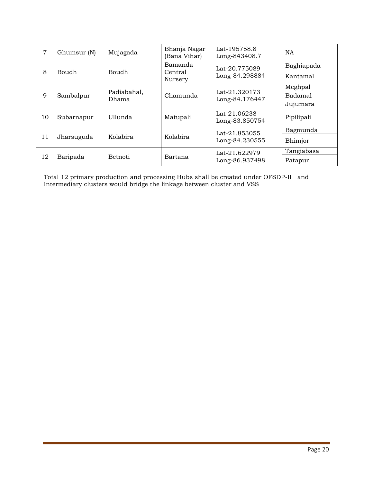| 7  | Ghumsur (N)                          | Mujagada             | Bhanja Nagar<br>(Bana Vihar) | Lat-195758.8<br>Long-843408.7   | <b>NA</b>      |
|----|--------------------------------------|----------------------|------------------------------|---------------------------------|----------------|
|    |                                      |                      | Bamanda                      | Lat-20.775089                   | Baghiapada     |
| 8  | Boudh                                | Boudh                | Central<br>Nursery           | Long-84.298884                  | Kantamal       |
|    |                                      |                      |                              |                                 | Meghpal        |
| 9  | Sambalpur                            | Padiabahal,<br>Dhama | Chamunda                     | Lat-21.320173<br>Long-84.176447 | <b>Badamal</b> |
|    |                                      |                      |                              |                                 | Jujumara       |
| 10 | Subarnapur                           | Ullunda              | Matupali                     | Lat-21.06238<br>Long-83.850754  | Pipilipali     |
|    |                                      |                      |                              | Lat-21.853055                   | Bagmunda       |
| 11 | Jharsuguda                           | Kolabira             | Kolabira                     | Long-84.230555                  | Bhimjor        |
|    |                                      |                      |                              | Lat-21.622979                   | Tangiabasa     |
|    | 12<br>Baripada<br>Betnoti<br>Bartana |                      |                              | Long-86.937498                  | Patapur        |

Total 12 primary production and processing Hubs shall be created under OFSDP-II and Intermediary clusters would bridge the linkage between cluster and VSS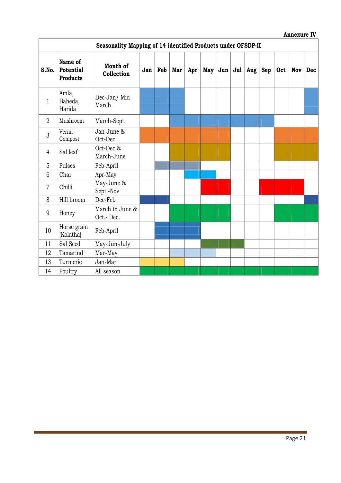#### **Annexure IV**

|                | Seasonality Mapping of 14 identified Products under OFSDP-II |                              |     |     |     |     |  |           |  |                 |     |     |     |
|----------------|--------------------------------------------------------------|------------------------------|-----|-----|-----|-----|--|-----------|--|-----------------|-----|-----|-----|
| S.No.          | Name of<br>Potential<br><b>Products</b>                      | Month of<br>Collection       | Jan | Feb | Mar | Apr |  | $May$ Jun |  | Jul   Aug   Sep | Oct | Nov | Dec |
| $\mathbf{1}$   | Amla,<br>Baheda,<br>Harida                                   | Dec-Jan/ Mid<br>March        |     |     |     |     |  |           |  |                 |     |     |     |
| $\overline{2}$ | Mushroom                                                     | March-Sept.                  |     |     |     |     |  |           |  |                 |     |     |     |
| 3              | Vermi-<br>Compost                                            | Jan-June &<br>Oct-Dec        |     |     |     |     |  |           |  |                 |     |     |     |
| $\overline{4}$ | Sal leaf                                                     | Oct-Dec &<br>March-June      |     |     |     |     |  |           |  |                 |     |     |     |
| 5              | Pulses                                                       | Feb-April                    |     |     |     |     |  |           |  |                 |     |     |     |
| 6              | Char                                                         | Apr-May                      |     |     |     |     |  |           |  |                 |     |     |     |
| $\overline{7}$ | Chilli                                                       | May-June &<br>Sept.-Nov      |     |     |     |     |  |           |  |                 |     |     |     |
| 8              | Hill broom                                                   | Dec-Feb                      |     |     |     |     |  |           |  |                 |     |     |     |
| 9              | Honey                                                        | March to June &<br>Oct.-Dec. |     |     |     |     |  |           |  |                 |     |     |     |
| 10             | Horse gram<br>(Kolatha)                                      | Feb-April                    |     |     |     |     |  |           |  |                 |     |     |     |
| 11             | Sal Seed                                                     | May-Jun-July                 |     |     |     |     |  |           |  |                 |     |     |     |
| 12             | Tamarind                                                     | Mar-May                      |     |     |     |     |  |           |  |                 |     |     |     |
| 13             | Turmeric                                                     | Jan-Mar                      |     |     |     |     |  |           |  |                 |     |     |     |
| 14             | Poultry                                                      | All season                   |     |     |     |     |  |           |  |                 |     |     |     |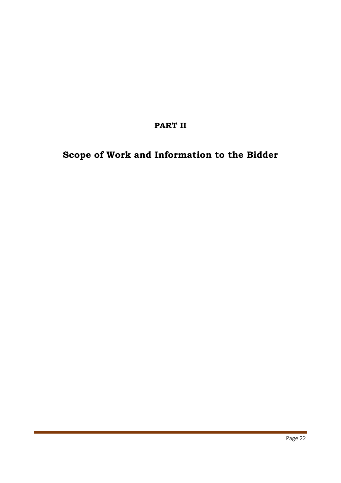## **PART II**

# **Scope of Work and Information to the Bidder**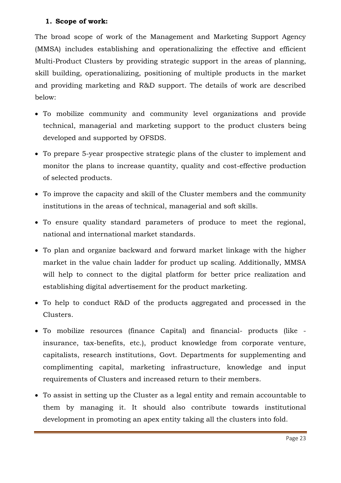### **1. Scope of work:**

The broad scope of work of the Management and Marketing Support Agency (MMSA) includes establishing and operationalizing the effective and efficient Multi-Product Clusters by providing strategic support in the areas of planning, skill building, operationalizing, positioning of multiple products in the market and providing marketing and R&D support. The details of work are described below:

- To mobilize community and community level organizations and provide technical, managerial and marketing support to the product clusters being developed and supported by OFSDS.
- To prepare 5-year prospective strategic plans of the cluster to implement and monitor the plans to increase quantity, quality and cost-effective production of selected products.
- To improve the capacity and skill of the Cluster members and the community institutions in the areas of technical, managerial and soft skills.
- To ensure quality standard parameters of produce to meet the regional, national and international market standards.
- To plan and organize backward and forward market linkage with the higher market in the value chain ladder for product up scaling. Additionally, MMSA will help to connect to the digital platform for better price realization and establishing digital advertisement for the product marketing.
- To help to conduct R&D of the products aggregated and processed in the Clusters.
- To mobilize resources (finance Capital) and financial- products (like insurance, tax-benefits, etc.), product knowledge from corporate venture, capitalists, research institutions, Govt. Departments for supplementing and complimenting capital, marketing infrastructure, knowledge and input requirements of Clusters and increased return to their members.
- To assist in setting up the Cluster as a legal entity and remain accountable to them by managing it. It should also contribute towards institutional development in promoting an apex entity taking all the clusters into fold.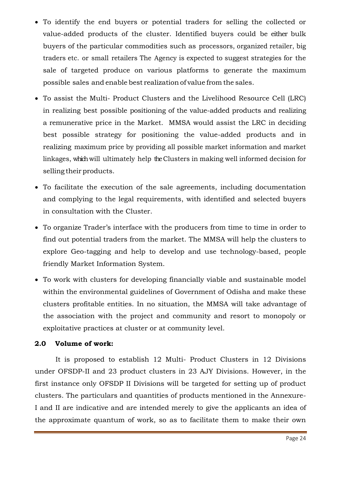- To identify the end buyers or potential traders for selling the collected or value-added products of the cluster. Identified buyers could be either bulk buyers of the particular commodities such as processors, organized retailer, big traders etc. or small retailers The Agency is expected to suggest strategies for the sale of targeted produce on various platforms to generate the maximum possible sales and enable best realization of value from the sales.
- To assist the Multi- Product Clusters and the Livelihood Resource Cell (LRC) in realizing best possible positioning of the value-added products and realizing a remunerative price in the Market. MMSA would assist the LRC in deciding best possible strategy for positioning the value-added products and in realizing maximum price by providing all possible market information and market linkages, which will ultimately help the Clusters in making well informed decision for selling their products.
- To facilitate the execution of the sale agreements, including documentation and complying to the legal requirements, with identified and selected buyers in consultation with the Cluster.
- To organize Trader's interface with the producers from time to time in order to find out potential traders from the market. The MMSA will help the clusters to explore Geo-tagging and help to develop and use technology-based, people friendly Market Information System.
- To work with clusters for developing financially viable and sustainable model within the environmental guidelines of Government of Odisha and make these clusters profitable entities. In no situation, the MMSA will take advantage of the association with the project and community and resort to monopoly or exploitative practices at cluster or at community level.

### **2.0 Volume of work:**

It is proposed to establish 12 Multi- Product Clusters in 12 Divisions under OFSDP-II and 23 product clusters in 23 AJY Divisions. However, in the first instance only OFSDP II Divisions will be targeted for setting up of product clusters. The particulars and quantities of products mentioned in the Annexure-I and II are indicative and are intended merely to give the applicants an idea of the approximate quantum of work, so as to facilitate them to make their own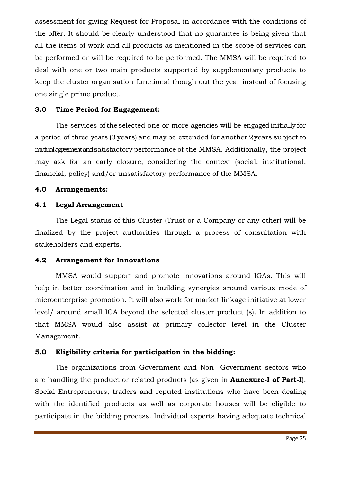assessment for giving Request for Proposal in accordance with the conditions of the offer. It should be clearly understood that no guarantee is being given that all the items of work and all products as mentioned in the scope of services can be performed or will be required to be performed. The MMSA will be required to deal with one or two main products supported by supplementary products to keep the cluster organisation functional though out the year instead of focusing one single prime product.

### **3.0 Time Period for Engagement:**

The services ofthe selected one or more agencies will be engaged initially for a period of three years (3 years) and may be extended for another 2 years subject to mutual agreement and satisfactory performance of the MMSA. Additionally, the project may ask for an early closure, considering the context (social, institutional, financial, policy) and/or unsatisfactory performance of the MMSA.

#### **4.0 Arrangements:**

### **4.1 Legal Arrangement**

The Legal status of this Cluster (Trust or a Company or any other) will be finalized by the project authorities through a process of consultation with stakeholders and experts.

#### **4.2 Arrangement for Innovations**

MMSA would support and promote innovations around IGAs. This will help in better coordination and in building synergies around various mode of microenterprise promotion. It will also work for market linkage initiative at lower level/ around small IGA beyond the selected cluster product (s). In addition to that MMSA would also assist at primary collector level in the Cluster Management.

### **5.0 Eligibility criteria for participation in the bidding:**

The organizations from Government and Non- Government sectors who are handling the product or related products (as given in **Annexure-I of Part-I**), Social Entrepreneurs, traders and reputed institutions who have been dealing with the identified products as well as corporate houses will be eligible to participate in the bidding process. Individual experts having adequate technical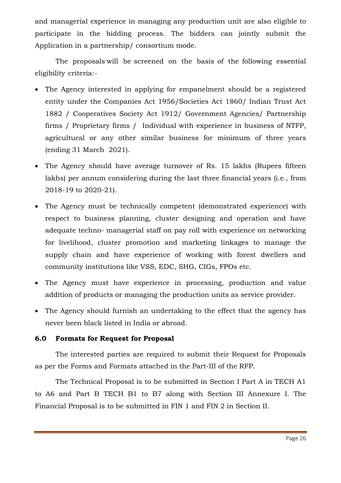and managerial experience in managing any production unit are also eligible to participate in the bidding process. The bidders can jointly submit the Application in a partnership/ consortium mode.

The proposals will be screened on the basis of the following essential eligibility criteria:‐

- The Agency interested in applying for empanelment should be a registered entity under the Companies Act 1956/Societies Act 1860/ Indian Trust Act 1882 / Cooperatives Society Act 1912/ Government Agencies/ Partnership firms / Proprietary firms / Individual with experience in business of NTFP, agricultural or any other similar business for minimum of three years (ending 31 March 2021).
- The Agency should have average turnover of Rs. 15 lakhs (Rupees fifteen lakhs) per annum considering during the last three financial years (i.e., from 2018-19 to 2020-21).
- The Agency must be technically competent (demonstrated experience) with respect to business planning, cluster designing and operation and have adequate techno- managerial staff on pay roll with experience on networking for livelihood, cluster promotion and marketing linkages to manage the supply chain and have experience of working with forest dwellers and community institutions like VSS, EDC, SHG, CIGs, FPOs etc.
- The Agency must have experience in processing, production and value addition of products or managing the production units as service provider.
- The Agency should furnish an undertaking to the effect that the agency has never been black listed in India or abroad.

### **6.0 Formats for Request for Proposal**

The interested parties are required to submit their Request for Proposals as per the Forms and Formats attached in the Part-III of the RFP.

The Technical Proposal is to be submitted in Section I Part A in TECH A1 to A6 and Part B TECH B1 to B7 along with Section III Annexure I. The Financial Proposal is to be submitted in FIN 1 and FIN 2 in Section II.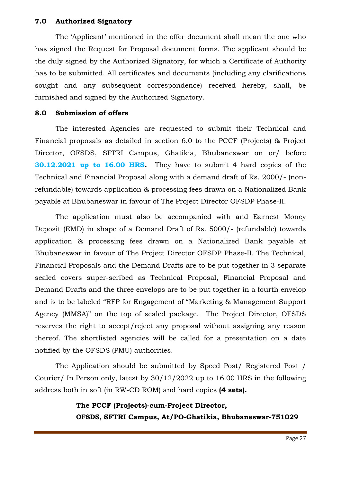### **7.0 Authorized Signatory**

The 'Applicant' mentioned in the offer document shall mean the one who has signed the Request for Proposal document forms. The applicant should be the duly signed by the Authorized Signatory, for which a Certificate of Authority has to be submitted. All certificates and documents (including any clarifications sought and any subsequent correspondence) received hereby, shall, be furnished and signed by the Authorized Signatory.

#### **8.0 Submission of offers**

The interested Agencies are requested to submit their Technical and Financial proposals as detailed in section 6.0 to the PCCF (Projects) & Project Director, OFSDS, SFTRI Campus, Ghatikia, Bhubaneswar on or/ before **30.12.2021 up to 16.00 HRS.** They have to submit 4 hard copies of the Technical and Financial Proposal along with a demand draft of Rs. 2000/- (nonrefundable) towards application & processing fees drawn on a Nationalized Bank payable at Bhubaneswar in favour of The Project Director OFSDP Phase-II.

The application must also be accompanied with and Earnest Money Deposit (EMD) in shape of a Demand Draft of Rs. 5000/- (refundable) towards application & processing fees drawn on a Nationalized Bank payable at Bhubaneswar in favour of The Project Director OFSDP Phase-II. The Technical, Financial Proposals and the Demand Drafts are to be put together in 3 separate sealed covers super-scribed as Technical Proposal, Financial Proposal and Demand Drafts and the three envelops are to be put together in a fourth envelop and is to be labeled "RFP for Engagement of "Marketing & Management Support Agency (MMSA)" on the top of sealed package. The Project Director, OFSDS reserves the right to accept/reject any proposal without assigning any reason thereof. The shortlisted agencies will be called for a presentation on a date notified by the OFSDS (PMU) authorities.

The Application should be submitted by Speed Post/ Registered Post / Courier/ In Person only, latest by 30/12/2022 up to 16.00 HRS in the following address both in soft (in RW-CD ROM) and hard copies **(4 sets).**

### **The PCCF (Projects)-cum-Project Director, OFSDS, SFTRI Campus, At/PO-Ghatikia, Bhubaneswar-751029**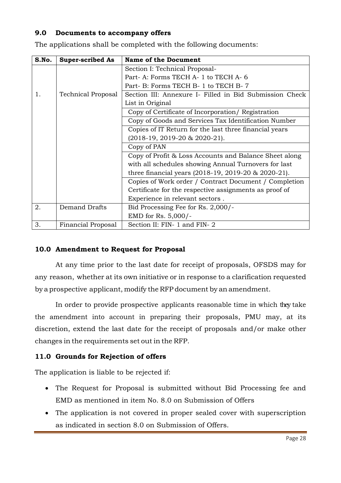### **9.0 Documents to accompany offers**

| S.No. | <b>Super-scribed As</b>   | <b>Name of the Document</b>                             |
|-------|---------------------------|---------------------------------------------------------|
|       |                           | Section I: Technical Proposal-                          |
|       |                           | Part-A: Forms TECH A-1 to TECH A-6                      |
|       |                           | Part- B: Forms TECH B- 1 to TECH B- 7                   |
| 1.    | <b>Technical Proposal</b> | Section III: Annexure I- Filled in Bid Submission Check |
|       |                           | List in Original                                        |
|       |                           | Copy of Certificate of Incorporation/ Registration      |
|       |                           | Copy of Goods and Services Tax Identification Number    |
|       |                           | Copies of IT Return for the last three financial years  |
|       |                           | $(2018-19, 2019-20 & 2020-21).$                         |
|       |                           | Copy of PAN                                             |
|       |                           | Copy of Profit & Loss Accounts and Balance Sheet along  |
|       |                           | with all schedules showing Annual Turnovers for last    |
|       |                           | three financial years (2018-19, 2019-20 & 2020-21).     |
|       |                           | Copies of Work order / Contract Document / Completion   |
|       |                           | Certificate for the respective assignments as proof of  |
|       |                           | Experience in relevant sectors.                         |
| 2.    | <b>Demand Drafts</b>      | Bid Processing Fee for Rs. 2,000/-                      |
|       |                           | EMD for Rs. 5,000/-                                     |
| 3.    | Financial Proposal        | Section II: FIN- 1 and FIN- 2                           |

The applications shall be completed with the following documents:

### **10.0 Amendment to Request for Proposal**

At any time prior to the last date for receipt of proposals, OFSDS may for any reason, whether at its own initiative or in response to a clarification requested by a prospective applicant, modify the RFP document by an amendment.

In order to provide prospective applicants reasonable time in which they take the amendment into account in preparing their proposals, PMU may, at its discretion, extend the last date for the receipt of proposals and/or make other changes in the requirements set out in the RFP.

### **11.0 Grounds for Rejection of offers**

The application is liable to be rejected if:

- The Request for Proposal is submitted without Bid Processing fee and EMD as mentioned in item No. 8.0 on Submission of Offers
- The application is not covered in proper sealed cover with superscription as indicated in section 8.0 on Submission of Offers.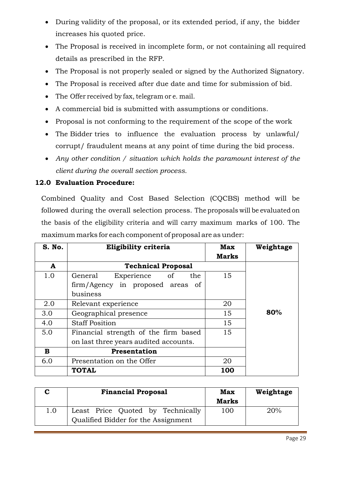- During validity of the proposal, or its extended period, if any, the bidder increases his quoted price.
- The Proposal is received in incomplete form, or not containing all required details as prescribed in the RFP.
- The Proposal is not properly sealed or signed by the Authorized Signatory.
- The Proposal is received after due date and time for submission of bid.
- The Offer received by fax, telegram or e. mail.
- A commercial bid is submitted with assumptions or conditions.
- Proposal is not conforming to the requirement of the scope of the work
- The Bidder tries to influence the evaluation process by unlawful/ corrupt/ fraudulent means at any point of time during the bid process.
- *Any other condition / situation which holds the paramount interest of the client during the overall section process.*

### **12.0 Evaluation Procedure:**

Combined Quality and Cost Based Selection (CQCBS) method will be followed during the overall selection process. The proposals will be evaluated on the basis of the eligibility criteria and will carry maximum marks of 100. The maximum marks for each component of proposal are as under:

| S. No. | Eligibility criteria                  | <b>Max</b>   | Weightage |
|--------|---------------------------------------|--------------|-----------|
|        |                                       | <b>Marks</b> |           |
| A      | <b>Technical Proposal</b>             |              |           |
| 1.0    | General<br>of<br>Experience<br>the    | 15           |           |
|        | firm/Agency in proposed areas<br>- of |              |           |
|        | business                              |              |           |
| 2.0    | Relevant experience                   | 20           |           |
| 3.0    | Geographical presence                 | 15           | 80%       |
| 4.0    | <b>Staff Position</b>                 | 15           |           |
| 5.0    | Financial strength of the firm based  | 15           |           |
|        | on last three years audited accounts. |              |           |
| B      | Presentation                          |              |           |
| 6.0    | Presentation on the Offer             | 20           |           |
|        | <b>TOTAL</b>                          | 100          |           |

|     | <b>Financial Proposal</b>                                                | <b>Max</b><br><b>Marks</b> | Weightage |
|-----|--------------------------------------------------------------------------|----------------------------|-----------|
| 1.0 | Least Price Quoted by Technically<br>Qualified Bidder for the Assignment | 100                        | 20%       |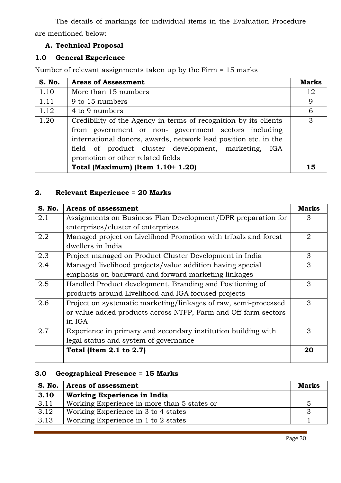The details of markings for individual items in the Evaluation Procedure are mentioned below:

### **A. Technical Proposal**

### **1.0 General Experience**

Number of relevant assignments taken up by the Firm = 15 marks

| S. No. | <b>Areas of Assessment</b>                                                                                                                                                                                                                                                              |    |  |  |
|--------|-----------------------------------------------------------------------------------------------------------------------------------------------------------------------------------------------------------------------------------------------------------------------------------------|----|--|--|
| 1.10   | More than 15 numbers                                                                                                                                                                                                                                                                    | 12 |  |  |
| 1.11   | 9 to 15 numbers                                                                                                                                                                                                                                                                         | 9  |  |  |
| 1.12   | 4 to 9 numbers                                                                                                                                                                                                                                                                          |    |  |  |
| 1.20   | Credibility of the Agency in terms of recognition by its clients<br>from government or non-government sectors including<br>international donors, awards, network lead position etc. in the<br>field of product cluster development, marketing, IGA<br>promotion or other related fields | 3  |  |  |
|        | Total (Maximum) (Item 1.10+ 1.20)                                                                                                                                                                                                                                                       | 15 |  |  |

### **2. Relevant Experience = 20 Marks**

| S. No. | <b>Areas of assessment</b>                                      | <b>Marks</b> |
|--------|-----------------------------------------------------------------|--------------|
| 2.1    | Assignments on Business Plan Development/DPR preparation for    | 3            |
|        | enterprises/cluster of enterprises                              |              |
| 2.2    | Managed project on Livelihood Promotion with tribals and forest | 2            |
|        | dwellers in India                                               |              |
| 2.3    | Project managed on Product Cluster Development in India         | 3            |
| 2.4    | Managed livelihood projects/value addition having special       | 3            |
|        | emphasis on backward and forward marketing linkages             |              |
| 2.5    | Handled Product development, Branding and Positioning of        | 3            |
|        | products around Livelihood and IGA focused projects             |              |
| 2.6    | Project on systematic marketing/linkages of raw, semi-processed | 3            |
|        | or value added products across NTFP, Farm and Off-farm sectors  |              |
|        | in IGA                                                          |              |
| 2.7    | Experience in primary and secondary institution building with   | 3            |
|        | legal status and system of governance                           |              |
|        | Total (Item 2.1 to 2.7)                                         | 20           |

### **3.0 Geographical Presence = 15 Marks**

| S. No. | <b>Areas of assessment</b>                  |  |  |  |
|--------|---------------------------------------------|--|--|--|
| 3.10   | <b>Working Experience in India</b>          |  |  |  |
| 3.11   | Working Experience in more than 5 states or |  |  |  |
| 3.12   | Working Experience in 3 to 4 states         |  |  |  |
| 3.13   | Working Experience in 1 to 2 states         |  |  |  |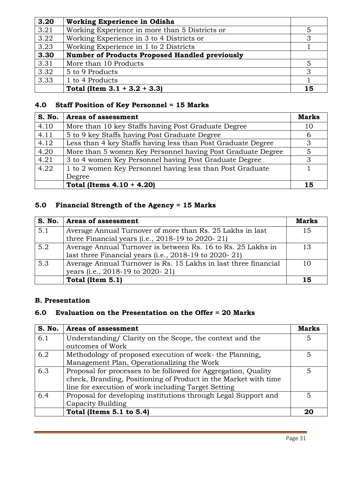| 3.20 | <b>Working Experience in Odisha</b>                   |    |
|------|-------------------------------------------------------|----|
| 3.21 | Working Experience in more than 5 Districts or        | 5  |
| 3.22 | Working Experience in 3 to 4 Districts or             | 3  |
| 3.23 | Working Experience in 1 to 2 Districts                |    |
| 3.30 | <b>Number of Products Proposed Handled previously</b> |    |
| 3.31 | More than 10 Products                                 | 5  |
| 3.32 | 5 to 9 Products                                       | 3  |
| 3.33 | 1 to 4 Products                                       |    |
|      | Total (Item $3.1 + 3.2 + 3.3$ )                       | 15 |

### **4.0 Staff Position of Key Personnel = 15 Marks**

| S. No. | <b>Areas of assessment</b>                                   | <b>Marks</b> |
|--------|--------------------------------------------------------------|--------------|
| 4.10   | More than 10 key Staffs having Post Graduate Degree          | 10           |
| 4.11   | 5 to 9 key Staffs having Post Graduate Degree                | 6            |
| 4.12   | Less than 4 key Staffs having less than Post Graduate Degree | 3            |
| 4.20   | More than 5 women Key Personnel having Post Graduate Degree  | 5            |
| 4.21   | 3 to 4 women Key Personnel having Post Graduate Degree       | 3            |
| 4.22   | 1 to 2 women Key Personnel having less than Post Graduate    |              |
|        | Degree                                                       |              |
|        | Total (Items $4.10 + 4.20$ )                                 | 15           |

### **5.0 Financial Strength of the Agency = 15 Marks**

| S. No. | <b>Areas of assessment</b>                                      | <b>Marks</b> |  |  |
|--------|-----------------------------------------------------------------|--------------|--|--|
| 5.1    | Average Annual Turnover of more than Rs. 25 Lakhs in last       | 15           |  |  |
|        | three Financial years (i.e., $2018-19$ to $2020-21$ )           |              |  |  |
| 5.2    | Average Annual Turnover is between Rs. 16 to Rs. 25 Lakhs in    |              |  |  |
|        | last three Financial years (i.e., $2018-19$ to $2020-21$ )      |              |  |  |
| 5.3    | Average Annual Turnover is Rs. 15 Lakhs in last three financial | 10           |  |  |
|        | years (i.e., 2018-19 to 2020-21)                                |              |  |  |
|        | Total (Item 5.1)                                                | 15           |  |  |

### **B. Presentation**

### **6.0 Evaluation on the Presentation on the Offer = 20 Marks**

| S. No. | <b>Areas of assessment</b>                                      | Marks |
|--------|-----------------------------------------------------------------|-------|
| 6.1    | Understanding/ Clarity on the Scope, the context and the        | 5     |
|        | outcomes of Work                                                |       |
| 6.2    | Methodology of proposed execution of work-the Planning,         | 5     |
|        | Management Plan, Operationalizing the Work                      |       |
| 6.3    | Proposal for processes to be followed for Aggregation, Quality  | 5     |
|        | check, Branding, Positioning of Product in the Market with time |       |
|        | line for execution of work including Target Setting             |       |
| 6.4    | Proposal for developing institutions through Legal Support and  | 5     |
|        | Capacity Building                                               |       |
|        | Total (Items 5.1 to 5.4)                                        | 20    |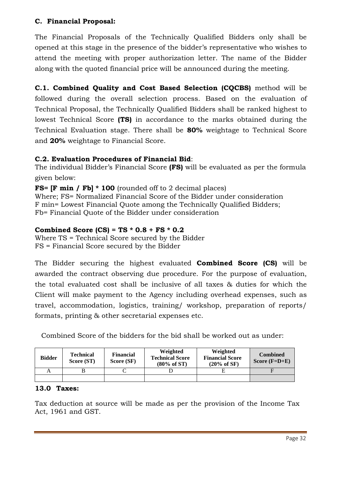### **C. Financial Proposal:**

The Financial Proposals of the Technically Qualified Bidders only shall be opened at this stage in the presence of the bidder's representative who wishes to attend the meeting with proper authorization letter. The name of the Bidder along with the quoted financial price will be announced during the meeting.

**C.1. Combined Quality and Cost Based Selection (CQCBS)** method will be followed during the overall selection process. Based on the evaluation of Technical Proposal, the Technically Qualified Bidders shall be ranked highest to lowest Technical Score **(TS)** in accordance to the marks obtained during the Technical Evaluation stage. There shall be **80%** weightage to Technical Score and **20%** weightage to Financial Score.

### **C.2. Evaluation Procedures of Financial Bid**:

The individual Bidder's Financial Score **(FS)** will be evaluated as per the formula given below:

**FS= [F min / Fb] \* 100** (rounded off to 2 decimal places) Where; FS= Normalized Financial Score of the Bidder under consideration F min= Lowest Financial Quote among the Technically Qualified Bidders; Fb= Financial Quote of the Bidder under consideration

### **Combined Score (CS) = TS \* 0.8 + FS \* 0.2**

Where TS = Technical Score secured by the Bidder FS = Financial Score secured by the Bidder

The Bidder securing the highest evaluated **Combined Score (CS)** will be awarded the contract observing due procedure. For the purpose of evaluation, the total evaluated cost shall be inclusive of all taxes & duties for which the Client will make payment to the Agency including overhead expenses, such as travel, accommodation, logistics, training/ workshop, preparation of reports/ formats, printing & other secretarial expenses etc.

Combined Score of the bidders for the bid shall be worked out as under:

| <b>Bidder</b> | <b>Technical</b><br>Score (ST) | Weighted<br><b>Financial</b><br><b>Technical Score</b><br>Score (SF)<br>$(80\% \text{ of ST})$ |  | Weighted<br><b>Financial Score</b><br>$(20%$ of SF) | <b>Combined</b><br>Score $(F=D+E)$ |  |
|---------------|--------------------------------|------------------------------------------------------------------------------------------------|--|-----------------------------------------------------|------------------------------------|--|
|               |                                |                                                                                                |  |                                                     |                                    |  |
|               |                                |                                                                                                |  |                                                     |                                    |  |

### **13.0 Taxes:**

Tax deduction at source will be made as per the provision of the Income Tax Act, 1961 and GST.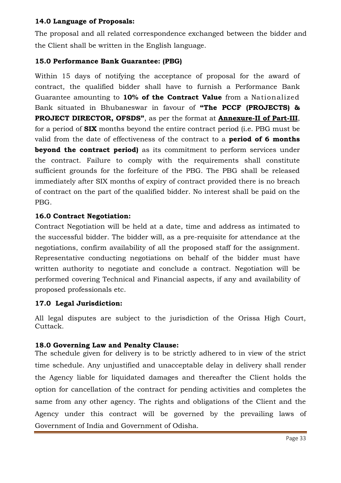### **14.0 Language of Proposals:**

The proposal and all related correspondence exchanged between the bidder and the Client shall be written in the English language.

### **15.0 Performance Bank Guarantee: (PBG)**

Within 15 days of notifying the acceptance of proposal for the award of contract, the qualified bidder shall have to furnish a Performance Bank Guarantee amounting to **10% of the Contract Value** from a Nationalized Bank situated in Bhubaneswar in favour of **"The PCCF (PROJECTS) & PROJECT DIRECTOR, OFSDS"**, as per the format at **Annexure-II of Part-III**, for a period of **SIX** months beyond the entire contract period (i.e. PBG must be valid from the date of effectiveness of the contract to a **period of 6 months beyond the contract period)** as its commitment to perform services under the contract. Failure to comply with the requirements shall constitute sufficient grounds for the forfeiture of the PBG. The PBG shall be released immediately after SIX months of expiry of contract provided there is no breach of contract on the part of the qualified bidder. No interest shall be paid on the PBG.

### **16.0 Contract Negotiation:**

Contract Negotiation will be held at a date, time and address as intimated to the successful bidder. The bidder will, as a pre-requisite for attendance at the negotiations, confirm availability of all the proposed staff for the assignment. Representative conducting negotiations on behalf of the bidder must have written authority to negotiate and conclude a contract. Negotiation will be performed covering Technical and Financial aspects, if any and availability of proposed professionals etc.

### **17.0 Legal Jurisdiction:**

All legal disputes are subject to the jurisdiction of the Orissa High Court, Cuttack.

### **18.0 Governing Law and Penalty Clause:**

The schedule given for delivery is to be strictly adhered to in view of the strict time schedule. Any unjustified and unacceptable delay in delivery shall render the Agency liable for liquidated damages and thereafter the Client holds the option for cancellation of the contract for pending activities and completes the same from any other agency. The rights and obligations of the Client and the Agency under this contract will be governed by the prevailing laws of Government of India and Government of Odisha.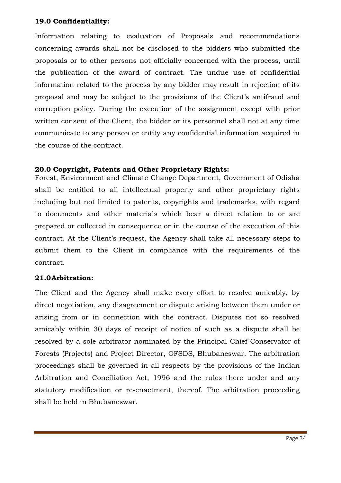### **19.0 Confidentiality:**

Information relating to evaluation of Proposals and recommendations concerning awards shall not be disclosed to the bidders who submitted the proposals or to other persons not officially concerned with the process, until the publication of the award of contract. The undue use of confidential information related to the process by any bidder may result in rejection of its proposal and may be subject to the provisions of the Client's antifraud and corruption policy. During the execution of the assignment except with prior written consent of the Client, the bidder or its personnel shall not at any time communicate to any person or entity any confidential information acquired in the course of the contract.

### **20.0 Copyright, Patents and Other Proprietary Rights:**

Forest, Environment and Climate Change Department, Government of Odisha shall be entitled to all intellectual property and other proprietary rights including but not limited to patents, copyrights and trademarks, with regard to documents and other materials which bear a direct relation to or are prepared or collected in consequence or in the course of the execution of this contract. At the Client's request, the Agency shall take all necessary steps to submit them to the Client in compliance with the requirements of the contract.

### **21.0Arbitration:**

The Client and the Agency shall make every effort to resolve amicably, by direct negotiation, any disagreement or dispute arising between them under or arising from or in connection with the contract. Disputes not so resolved amicably within 30 days of receipt of notice of such as a dispute shall be resolved by a sole arbitrator nominated by the Principal Chief Conservator of Forests (Projects) and Project Director, OFSDS, Bhubaneswar. The arbitration proceedings shall be governed in all respects by the provisions of the Indian Arbitration and Conciliation Act, 1996 and the rules there under and any statutory modification or re-enactment, thereof. The arbitration proceeding shall be held in Bhubaneswar.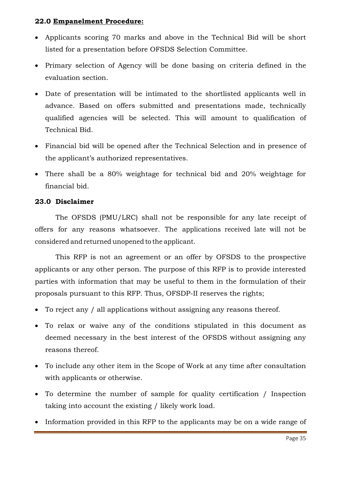### **22.0 Empanelment Procedure:**

- Applicants scoring 70 marks and above in the Technical Bid will be short listed for a presentation before OFSDS Selection Committee.
- Primary selection of Agency will be done basing on criteria defined in the evaluation section.
- Date of presentation will be intimated to the shortlisted applicants well in advance. Based on offers submitted and presentations made, technically qualified agencies will be selected. This will amount to qualification of Technical Bid.
- Financial bid will be opened after the Technical Selection and in presence of the applicant's authorized representatives.
- There shall be a 80% weightage for technical bid and 20% weightage for financial bid.

### **23.0 Disclaimer**

The OFSDS (PMU/LRC) shall not be responsible for any late receipt of offers for any reasons whatsoever. The applications received late will not be considered and returned unopened to the applicant.

This RFP is not an agreement or an offer by OFSDS to the prospective applicants or any other person. The purpose of this RFP is to provide interested parties with information that may be useful to them in the formulation of their proposals pursuant to this RFP. Thus, OFSDP-II reserves the rights;

- To reject any / all applications without assigning any reasons thereof.
- To relax or waive any of the conditions stipulated in this document as deemed necessary in the best interest of the OFSDS without assigning any reasons thereof.
- To include any other item in the Scope of Work at any time after consultation with applicants or otherwise.
- To determine the number of sample for quality certification / Inspection taking into account the existing / likely work load.
- Information provided in this RFP to the applicants may be on a wide range of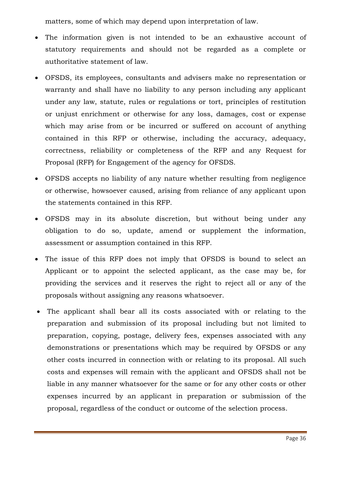matters, some of which may depend upon interpretation of law.

- The information given is not intended to be an exhaustive account of statutory requirements and should not be regarded as a complete or authoritative statement of law.
- OFSDS, its employees, consultants and advisers make no representation or warranty and shall have no liability to any person including any applicant under any law, statute, rules or regulations or tort, principles of restitution or unjust enrichment or otherwise for any loss, damages, cost or expense which may arise from or be incurred or suffered on account of anything contained in this RFP or otherwise, including the accuracy, adequacy, correctness, reliability or completeness of the RFP and any Request for Proposal (RFP) for Engagement of the agency for OFSDS.
- OFSDS accepts no liability of any nature whether resulting from negligence or otherwise, howsoever caused, arising from reliance of any applicant upon the statements contained in this RFP.
- OFSDS may in its absolute discretion, but without being under any obligation to do so, update, amend or supplement the information, assessment or assumption contained in this RFP.
- The issue of this RFP does not imply that OFSDS is bound to select an Applicant or to appoint the selected applicant, as the case may be, for providing the services and it reserves the right to reject all or any of the proposals without assigning any reasons whatsoever.
- The applicant shall bear all its costs associated with or relating to the preparation and submission of its proposal including but not limited to preparation, copying, postage, delivery fees, expenses associated with any demonstrations or presentations which may be required by OFSDS or any other costs incurred in connection with or relating to its proposal. All such costs and expenses will remain with the applicant and OFSDS shall not be liable in any manner whatsoever for the same or for any other costs or other expenses incurred by an applicant in preparation or submission of the proposal, regardless of the conduct or outcome of the selection process.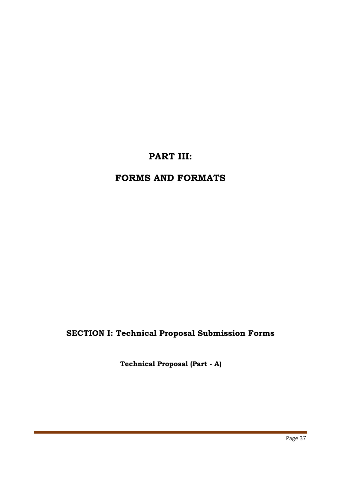## **PART III:**

## **FORMS AND FORMATS**

## **SECTION I: Technical Proposal Submission Forms**

**Technical Proposal (Part - A)**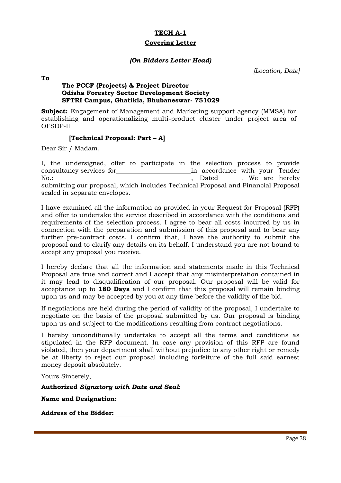#### **Covering Letter**

#### *(On Bidders Letter Head)*

*[Location, Date]*

**To**

#### **The PCCF (Projects) & Project Director Odisha Forestry Sector Development Society SFTRI Campus, Ghatikia, Bhubaneswar- 751029**

**Subject:** Engagement of Management and Marketing support agency (MMSA) for establishing and operationalizing multi-product cluster under project area of OFSDP-II

#### **[Technical Proposal: Part – A]**

Dear Sir / Madam,

|      | I, the undersigned, offer to participate in the selection process to provide      |  |  |                                |  |  |
|------|-----------------------------------------------------------------------------------|--|--|--------------------------------|--|--|
|      | consultancy services for                                                          |  |  | in accordance with your Tender |  |  |
| No.: |                                                                                   |  |  | Dated________. We are hereby   |  |  |
|      | submitting our proposal, which includes Technical Proposal and Financial Proposal |  |  |                                |  |  |
|      | sealed in separate envelopes.                                                     |  |  |                                |  |  |

I have examined all the information as provided in your Request for Proposal (RFP) and offer to undertake the service described in accordance with the conditions and requirements of the selection process. I agree to bear all costs incurred by us in connection with the preparation and submission of this proposal and to bear any further pre-contract costs. I confirm that, I have the authority to submit the proposal and to clarify any details on its behalf. I understand you are not bound to accept any proposal you receive.

I hereby declare that all the information and statements made in this Technical Proposal are true and correct and I accept that any misinterpretation contained in it may lead to disqualification of our proposal. Our proposal will be valid for acceptance up to **180 Days** and I confirm that this proposal will remain binding upon us and may be accepted by you at any time before the validity of the bid.

If negotiations are held during the period of validity of the proposal, I undertake to negotiate on the basis of the proposal submitted by us. Our proposal is binding upon us and subject to the modifications resulting from contract negotiations.

I hereby unconditionally undertake to accept all the terms and conditions as stipulated in the RFP document. In case any provision of this RFP are found violated, then your department shall without prejudice to any other right or remedy be at liberty to reject our proposal including forfeiture of the full said earnest money deposit absolutely.

Yours Sincerely,

**Authorized** *Signatory with Date and Seal***:**

**Name and Designation:**

**Address of the Bidder:**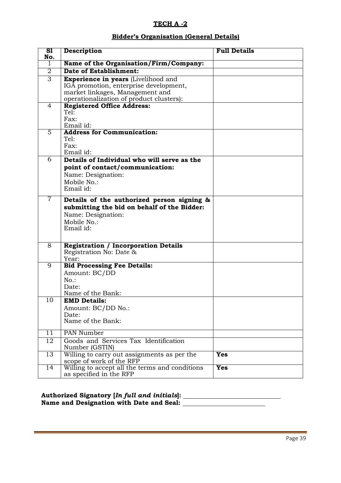### **Bidder's Organisation (General Details)**

| $\overline{\mathbf{S}}$<br>No. | <b>Description</b>                                                                                                                                                  | <b>Full Details</b> |
|--------------------------------|---------------------------------------------------------------------------------------------------------------------------------------------------------------------|---------------------|
| 1                              | Name of the Organisation/Firm/Company:                                                                                                                              |                     |
| 2                              | <b>Date of Establishment:</b>                                                                                                                                       |                     |
| $\overline{3}$                 | <b>Experience in years</b> (Livelihood and<br>IGA promotion, enterprise development,<br>market linkages, Management and<br>operationalization of product clusters): |                     |
| 4                              | <b>Registered Office Address:</b><br>Tel:<br>Fax:<br>Email id:                                                                                                      |                     |
| $\overline{5}$                 | <b>Address for Communication:</b><br>Tel:<br>Fax:<br>Email id:                                                                                                      |                     |
| 6                              | Details of Individual who will serve as the<br>point of contact/communication:<br>Name: Designation:<br>Mobile No.:<br>Email id:                                    |                     |
| $\overline{7}$                 | Details of the authorized person signing &<br>submitting the bid on behalf of the Bidder:<br>Name: Designation:<br>Mobile No.:<br>Email id:                         |                     |
| $\overline{8}$                 | <b>Registration / Incorporation Details</b><br>Registration No: Date &<br>Year:                                                                                     |                     |
| $\overline{9}$                 | <b>Bid Processing Fee Details:</b><br>Amount: BC/DD<br>$No.$ :<br>Date:<br>Name of the Bank:                                                                        |                     |
| 10                             | <b>EMD Details:</b><br>Amount: BC/DD No.:<br>Date:<br>Name of the Bank:                                                                                             |                     |
| $\overline{11}$                | PAN Number                                                                                                                                                          |                     |
| 12                             | Goods and Services Tax Identification<br>Number (GSTIN)                                                                                                             |                     |
| 13                             | Willing to carry out assignments as per the<br>scope of work of the RFP                                                                                             | <b>Yes</b>          |
| 14                             | Willing to accept all the terms and conditions<br>as specified in the RFP                                                                                           | <b>Yes</b>          |

| Authorized Signatory [In full and initials]: |  |
|----------------------------------------------|--|
| Name and Designation with Date and Seal:     |  |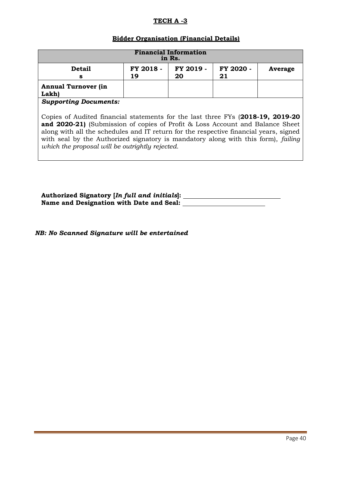#### **Bidder Organisation (Financial Details)**

| <b>Financial Information</b><br>in Rs.                                                 |  |  |  |  |  |  |  |  |  |  |  |
|----------------------------------------------------------------------------------------|--|--|--|--|--|--|--|--|--|--|--|
| FY 2018 -<br>FY 2019 -<br>FY 2020 -<br><b>Detail</b><br>Average<br>20<br>21<br>19<br>s |  |  |  |  |  |  |  |  |  |  |  |
| <b>Annual Turnover (in</b><br>Lakh)                                                    |  |  |  |  |  |  |  |  |  |  |  |

*Supporting Documents:*

Copies of Audited financial statements for the last three FYs (**2018-19, 2019-20 and 2020-21)** (Submission of copies of Profit & Loss Account and Balance Sheet along with all the schedules and IT return for the respective financial years, signed with seal by the Authorized signatory is mandatory along with this form), *failing which the proposal will be outrightly rejected.*

**Authorized Signatory [***In full and initials***]: Name and Designation with Date and Seal:** 

*NB: No Scanned Signature will be entertained*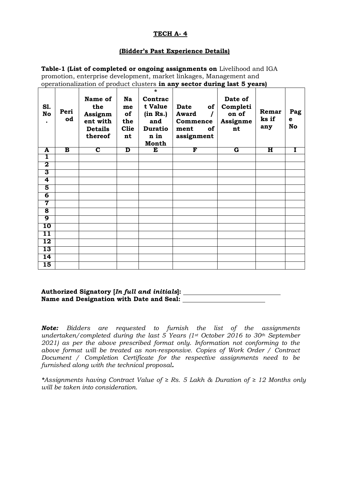#### **(Bidder's Past Experience Details)**

**Table-1 (List of completed or ongoing assignments on** Livelihood and IGA promotion, enterprise development, market linkages, Management and operationalization of product clusters **in any sector during last 5 years) Sl. No . Peri od Name of the Assignm ent with Details Na me of the Clie \* Contrac t Value (in Rs.) and Duratio Date of Award / Commence ment of Date of Completi on of Assignme nt Remar ks if any Pag e No**

**A B C D E F G H I**

**assignment**

**n in Month**

**thereof**

**nt**

| Authorized Signatory [In full and initials]: |  |
|----------------------------------------------|--|
| Name and Designation with Date and Seal:     |  |

*Note: Bidders are requested to furnish the list of the assignments undertaken/completed during the last 5 Years (1st October 2016 to 30th September 2021) as per the above prescribed format only. Information not conforming to the above format will be treated as non-responsive. Copies of Work Order / Contract Document / Completion Certificate for the respective assignments need to be furnished along with the technical proposal.* 

*\*Assignments having Contract Value of ≥ Rs. 5 Lakh & Duration of ≥ 12 Months only will be taken into consideration.*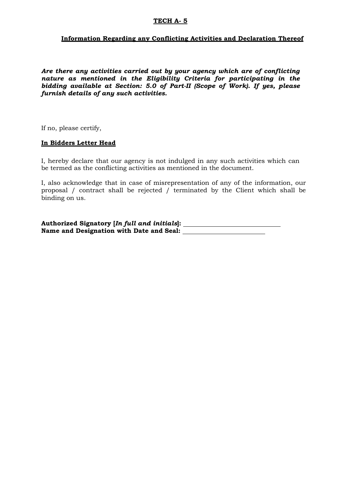#### **Information Regarding any Conflicting Activities and Declaration Thereof**

*Are there any activities carried out by your agency which are of conflicting nature as mentioned in the Eligibility Criteria for participating in the bidding available at Section: 5.0 of Part-II (Scope of Work). If yes, please furnish details of any such activities.*

If no, please certify,

#### **In Bidders Letter Head**

I, hereby declare that our agency is not indulged in any such activities which can be termed as the conflicting activities as mentioned in the document.

I, also acknowledge that in case of misrepresentation of any of the information, our proposal / contract shall be rejected / terminated by the Client which shall be binding on us.

**Authorized Signatory [***In full and initials***]: Name and Designation with Date and Seal:**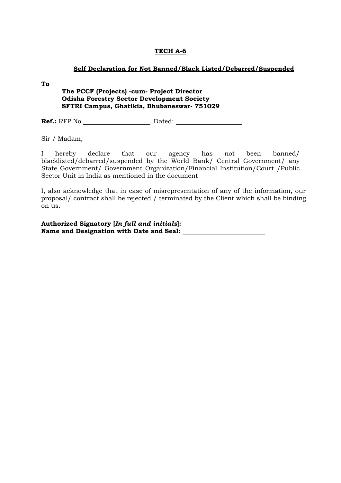#### **Self Declaration for Not Banned/Black Listed/Debarred/Suspended**

**To**

#### **The PCCF (Projects) -cum- Project Director Odisha Forestry Sector Development Society SFTRI Campus, Ghatikia, Bhubaneswar- 751029**

**Ref.:** RFP No. , Dated:

Sir / Madam,

I hereby declare that our agency has not been banned/ blacklisted/debarred/suspended by the World Bank/ Central Government/ any State Government/ Government Organization/Financial Institution/Court /Public Sector Unit in India as mentioned in the document

I, also acknowledge that in case of misrepresentation of any of the information, our proposal/ contract shall be rejected / terminated by the Client which shall be binding on us.

**Authorized Signatory [***In full and initials***]: Name and Designation with Date and Seal:**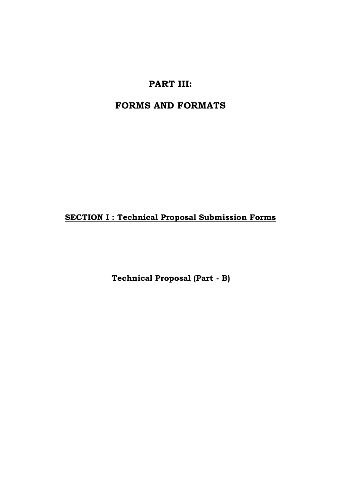## **PART III:**

## **FORMS AND FORMATS**

**SECTION I : Technical Proposal Submission Forms**

**Technical Proposal (Part - B)**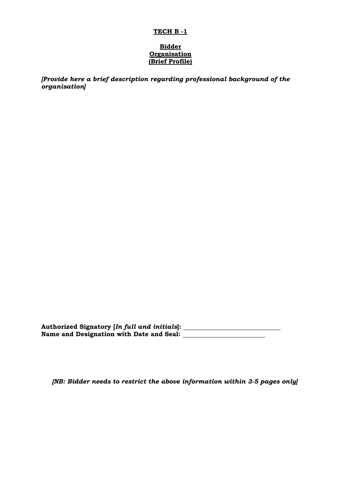#### **Bidder Organisation (Brief Profile)**

*[Provide here a brief description regarding professional background of the organisation]*

**Authorized Signatory [***In full and initials***]: Name and Designation with Date and Seal:** 

*[NB: Bidder needs to restrict the above information within 3-5 pages only]*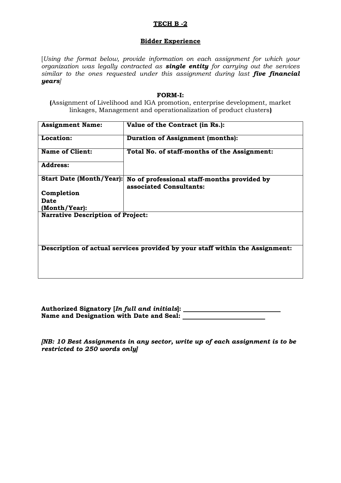#### **Bidder Experience**

[*Using the format below, provide information on each assignment for which your organization was legally contracted as single entity for carrying out the services similar to the ones requested under this assignment during last five financial years]*

#### **FORM-I:**

**(**Assignment of Livelihood and IGA promotion, enterprise development, market linkages, Management and operationalization of product clusters**)**

| <b>Assignment Name:</b>                  | Value of the Contract (in Rs.):                                              |
|------------------------------------------|------------------------------------------------------------------------------|
| Location:                                | <b>Duration of Assignment (months):</b>                                      |
| <b>Name of Client:</b>                   | Total No. of staff-months of the Assignment:                                 |
| <b>Address:</b>                          |                                                                              |
| <b>Start Date (Month/Year):</b>          | No of professional staff-months provided by<br>associated Consultants:       |
| Completion                               |                                                                              |
| <b>Date</b>                              |                                                                              |
| (Month/Year):                            |                                                                              |
| <b>Narrative Description of Project:</b> |                                                                              |
|                                          | Description of actual services provided by your staff within the Assignment: |

**Authorized Signatory [***In full and initials***]: Name and Designation with Date and Seal:** 

*[NB: 10 Best Assignments in any sector, write up of each assignment is to be restricted to 250 words only]*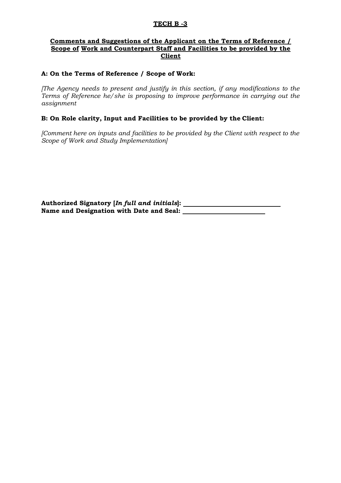#### **Comments and Suggestions of the Applicant on the Terms of Reference / Scope of Work and Counterpart Staff and Facilities to be provided by the Client**

#### **A: On the Terms of Reference / Scope of Work:**

*[The Agency needs to present and justify in this section, if any modifications to the Terms of Reference he/she is proposing to improve performance in carrying out the assignment* 

#### **B: On Role clarity, Input and Facilities to be provided by the Client:**

*[Comment here on inputs and facilities to be provided by the Client with respect to the Scope of Work and Study Implementation]*

**Authorized Signatory [***In full and initials***]: Name and Designation with Date and Seal:**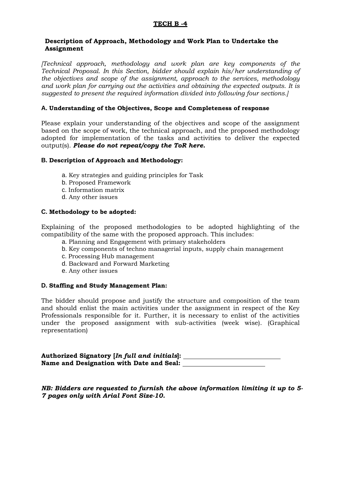#### **Description of Approach, Methodology and Work Plan to Undertake the Assignment**

*[Technical approach, methodology and work plan are key components of the Technical Proposal. In this Section, bidder should explain his/her understanding of the objectives and scope of the assignment, approach to the services, methodology and work plan for carrying out the activities and obtaining the expected outputs. It is suggested to present the required information divided into following four sections.]*

#### **A. Understanding of the Objectives, Scope and Completeness of response**

Please explain your understanding of the objectives and scope of the assignment based on the scope of work, the technical approach, and the proposed methodology adopted for implementation of the tasks and activities to deliver the expected output(s). *Please do not repeat/copy the ToR here.*

#### **B. Description of Approach and Methodology:**

- a. Key strategies and guiding principles for Task
- b. Proposed Framework
- c. Information matrix
- d. Any other issues

#### **C. Methodology to be adopted:**

Explaining of the proposed methodologies to be adopted highlighting of the compatibility of the same with the proposed approach. This includes:

- a. Planning and Engagement with primary stakeholders
- b. Key components of techno managerial inputs, supply chain management
- c. Processing Hub management
- d. Backward and Forward Marketing
- e. Any other issues

#### **D. Staffing and Study Management Plan:**

The bidder should propose and justify the structure and composition of the team and should enlist the main activities under the assignment in respect of the Key Professionals responsible for it. Further, it is necessary to enlist of the activities under the proposed assignment with sub-activities (week wise). (Graphical representation)

**Authorized Signatory [***In full and initials***]: Name and Designation with Date and Seal:** 

*NB: Bidders are requested to furnish the above information limiting it up to 5- 7 pages only with Arial Font Size-10.*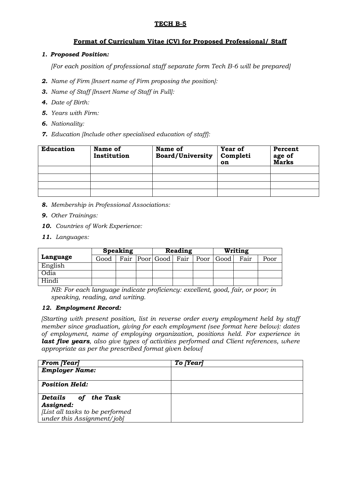#### **Format of Curriculum Vitae (CV) for Proposed Professional/ Staff**

#### *1. Proposed Position:*

*[For each position of professional staff separate form Tech B-6 will be prepared]*

- *2. Name of Firm [Insert name of Firm proposing the position]:*
- *3. Name of Staff [Insert Name of Staff in Full]:*
- *4. Date of Birth:*
- *5. Years with Firm:*
- *6. Nationality:*
- *7. Education [Include other specialised education of staff]:*

| <b>Education</b> | Name of<br>Institution | Name of<br><b>Board/University</b> | <b>Year of</b><br>Completi<br>on | Percent<br>age of<br>Marks |
|------------------|------------------------|------------------------------------|----------------------------------|----------------------------|
|                  |                        |                                    |                                  |                            |
|                  |                        |                                    |                                  |                            |
|                  |                        |                                    |                                  |                            |
|                  |                        |                                    |                                  |                            |

- *8. Membership in Professional Associations:*
- *9. Other Trainings:*
- *10. Countries of Work Experience:*
- *11. Languages:*

| <b>Speaking</b> |      |  | Reading |  | Writing                                 |  |      |      |
|-----------------|------|--|---------|--|-----------------------------------------|--|------|------|
| Language        | Good |  |         |  | Fair   Poor   Good   Fair   Poor   Good |  | Fair | Poor |
| English         |      |  |         |  |                                         |  |      |      |
| Odia            |      |  |         |  |                                         |  |      |      |
| Hindi           |      |  |         |  |                                         |  |      |      |

*NB: For each language indicate proficiency: excellent, good, fair, or poor; in speaking, reading, and writing.*

#### *12. Employment Record:*

*[Starting with present position, list in reverse order every employment held by staff member since graduation, giving for each employment (see format here below): dates of employment, name of employing organization, positions held. For experience in last five years, also give types of activities performed and Client references, where appropriate as per the prescribed format given below]*

| <b>From [Year]</b>                                            | To [Year] |
|---------------------------------------------------------------|-----------|
| <b>Employer Name:</b>                                         |           |
| <b>Position Held:</b>                                         |           |
| of the Task<br>Details                                        |           |
| Assigned:                                                     |           |
| [List all tasks to be performed<br>under this Assignment/jobl |           |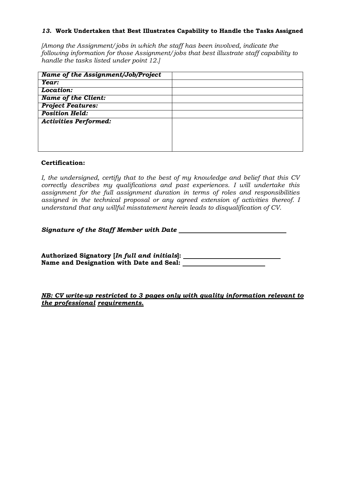#### *13.* **Work Undertaken that Best Illustrates Capability to Handle the Tasks Assigned**

*[Among the Assignment/jobs in which the staff has been involved, indicate the following information for those Assignment/jobs that best illustrate staff capability to handle the tasks listed under point 12.]*

| Name of the Assignment/Job/Project |  |
|------------------------------------|--|
| Year:                              |  |
| Location:                          |  |
| <b>Name of the Client:</b>         |  |
| <b>Project Features:</b>           |  |
| <b>Position Held:</b>              |  |
| <b>Activities Performed:</b>       |  |
|                                    |  |
|                                    |  |
|                                    |  |

#### **Certification:**

*I, the undersigned, certify that to the best of my knowledge and belief that this CV correctly describes my qualifications and past experiences. I will undertake this assignment for the full assignment duration in terms of roles and responsibilities assigned in the technical proposal or any agreed extension of activities thereof. I understand that any willful misstatement herein leads to disqualification of CV.*

*Signature of the Staff Member with Date* 

**Authorized Signatory [***In full and initials***]: Name and Designation with Date and Seal:** 

*NB: CV write-up restricted to 3 pages only with quality information relevant to the professional requirements.*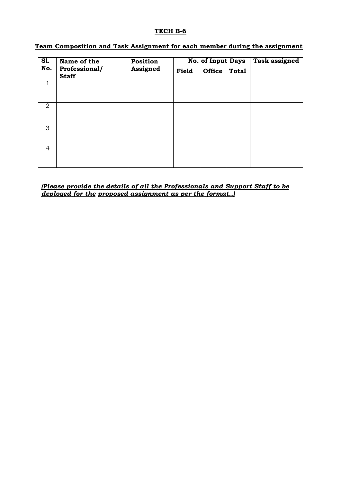### **Team Composition and Task Assignment for each member during the assignment**

| <b>S1.</b>     | Name of the                   | Position |       | <b>No. of Input Days</b> |              | <b>Task assigned</b> |
|----------------|-------------------------------|----------|-------|--------------------------|--------------|----------------------|
| No.            | Professional/<br><b>Staff</b> | Assigned | Field | <b>Office</b>            | <b>Total</b> |                      |
| 1              |                               |          |       |                          |              |                      |
| $\overline{2}$ |                               |          |       |                          |              |                      |
| 3              |                               |          |       |                          |              |                      |
| 4              |                               |          |       |                          |              |                      |

*(Please provide the details of all the Professionals and Support Staff to be deployed for the proposed assignment as per the format..)*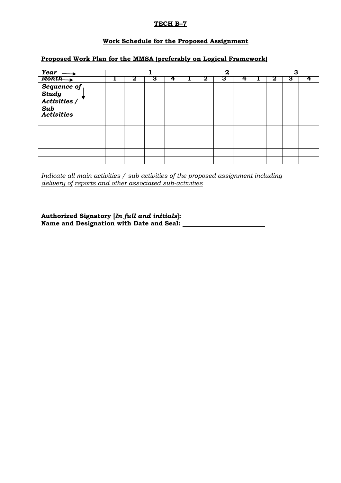### **TECH B–7**

#### **Work Schedule for the Proposed Assignment**

#### **Proposed Work Plan for the MMSA (preferably on Logical Framework)**

| $Year \rightarrow$                                                                             |   |   |   |   | 2 |   |   | 3 |  |
|------------------------------------------------------------------------------------------------|---|---|---|---|---|---|---|---|--|
| $Month \rightarrow$                                                                            | Ω | з | 4 | 2 | З | 4 | 2 | З |  |
|                                                                                                |   |   |   |   |   |   |   |   |  |
|                                                                                                |   |   |   |   |   |   |   |   |  |
| $\begin{array}{c}\n \textbf{Sequence of} \\ \textbf{Study} \\ \textbf{Activity}\n \end{array}$ |   |   |   |   |   |   |   |   |  |
|                                                                                                |   |   |   |   |   |   |   |   |  |
|                                                                                                |   |   |   |   |   |   |   |   |  |
| Sub<br>Activities                                                                              |   |   |   |   |   |   |   |   |  |
|                                                                                                |   |   |   |   |   |   |   |   |  |
|                                                                                                |   |   |   |   |   |   |   |   |  |
|                                                                                                |   |   |   |   |   |   |   |   |  |
|                                                                                                |   |   |   |   |   |   |   |   |  |
|                                                                                                |   |   |   |   |   |   |   |   |  |
|                                                                                                |   |   |   |   |   |   |   |   |  |

*Indicate all main activities / sub activities of the proposed assignment including delivery of reports and other associated sub-activities*

**Authorized Signatory [***In full and initials***]: Name and Designation with Date and Seal:**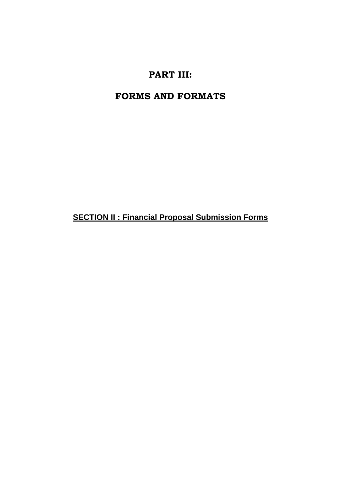## **PART III:**

## **FORMS AND FORMATS**

**SECTION II : Financial Proposal Submission Forms**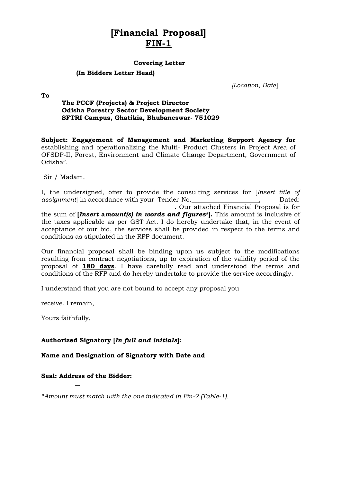## **[Financial Proposal] FIN-1**

#### **Covering Letter**

#### **(In Bidders Letter Head)**

*[Location, Date*]

**To**

#### **The PCCF (Projects) & Project Director Odisha Forestry Sector Development Society SFTRI Campus, Ghatikia, Bhubaneswar- 751029**

**Subject: Engagement of Management and Marketing Support Agency for**  establishing and operationalizing the Multi- Product Clusters in Project Area of OFSDP-II, Forest, Environment and Climate Change Department, Government of Odisha".

Sir / Madam,

I, the undersigned, offer to provide the consulting services for [*Insert title of assignment* in accordance with your Tender No.  $\qquad \qquad$ , Dated: . Our attached Financial Proposal is for the sum of **[***Insert* **a***mount(s) in words and figures***\*].** This amount is inclusive of the taxes applicable as per GST Act. I do hereby undertake that, in the event of acceptance of our bid, the services shall be provided in respect to the terms and conditions as stipulated in the RFP document.

Our financial proposal shall be binding upon us subject to the modifications resulting from contract negotiations, up to expiration of the validity period of the proposal of **180 days**. I have carefully read and understood the terms and conditions of the RFP and do hereby undertake to provide the service accordingly.

I understand that you are not bound to accept any proposal you

receive. I remain,

Yours faithfully,

#### **Authorized Signatory [***In full and initials***]:**

**Name and Designation of Signatory with Date and** 

#### **Seal: Address of the Bidder:**

*\*Amount must match with the one indicated in Fin-2 (Table-1).*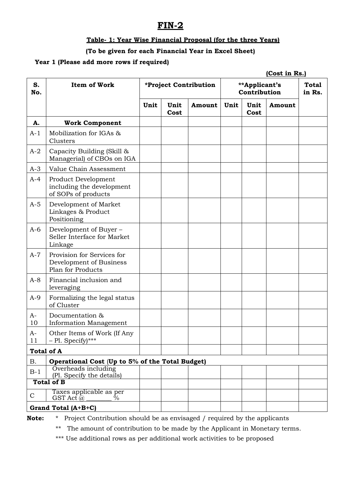### **FIN-2**

#### **Table- 1: Year Wise Financial Proposal (for the three Years)**

### **(To be given for each Financial Year in Excel Sheet)**

#### **Year 1 (Please add more rows if required)**

|              |                                                                            |      |              |                       |      |                               | (Cost in Rs.) |                        |
|--------------|----------------------------------------------------------------------------|------|--------------|-----------------------|------|-------------------------------|---------------|------------------------|
| S.<br>No.    | <b>Item of Work</b>                                                        |      |              | *Project Contribution |      | **Applicant's<br>Contribution |               | <b>Total</b><br>in Rs. |
|              |                                                                            | Unit | Unit<br>Cost | Amount                | Unit | Unit<br>Cost                  | Amount        |                        |
| A.           | <b>Work Component</b>                                                      |      |              |                       |      |                               |               |                        |
| $A-1$        | Mobilization for IGAs &<br>Clusters                                        |      |              |                       |      |                               |               |                        |
| $A-2$        | Capacity Building (Skill &<br>Managerial) of CBOs on IGA                   |      |              |                       |      |                               |               |                        |
| $A-3$        | Value Chain Assessment                                                     |      |              |                       |      |                               |               |                        |
| $A-4$        | Product Development<br>including the development<br>of SOPs of products    |      |              |                       |      |                               |               |                        |
| $A-5$        | Development of Market<br>Linkages & Product<br>Positioning                 |      |              |                       |      |                               |               |                        |
| $A-6$        | Development of Buyer -<br>Seller Interface for Market<br>Linkage           |      |              |                       |      |                               |               |                        |
| $A-7$        | Provision for Services for<br>Development of Business<br>Plan for Products |      |              |                       |      |                               |               |                        |
| $A-8$        | Financial inclusion and<br>leveraging                                      |      |              |                       |      |                               |               |                        |
| $A-9$        | Formalizing the legal status<br>of Cluster                                 |      |              |                       |      |                               |               |                        |
| A-<br>10     | Documentation &<br><b>Information Management</b>                           |      |              |                       |      |                               |               |                        |
| $A-$<br>11   | Other Items of Work (If Any<br>$-$ Pl. Specify)***                         |      |              |                       |      |                               |               |                        |
|              | <b>Total of A</b>                                                          |      |              |                       |      |                               |               |                        |
| Β.           | Operational Cost (Up to 5% of the Total Budget)                            |      |              |                       |      |                               |               |                        |
| $B-1$        | Overheads including<br>(Pl. Specify the details)                           |      |              |                       |      |                               |               |                        |
|              | <b>Total of B</b>                                                          |      |              |                       |      |                               |               |                        |
| $\mathsf{C}$ | Taxes applicable as per<br>GST Act $\bar{a}$<br>$\%$                       |      |              |                       |      |                               |               |                        |
|              | Grand Total (A+B+C)                                                        |      |              |                       |      |                               |               |                        |

**Note:** \* Project Contribution should be as envisaged / required by the applicants

\*\* The amount of contribution to be made by the Applicant in Monetary terms.

\*\*\* Use additional rows as per additional work activities to be proposed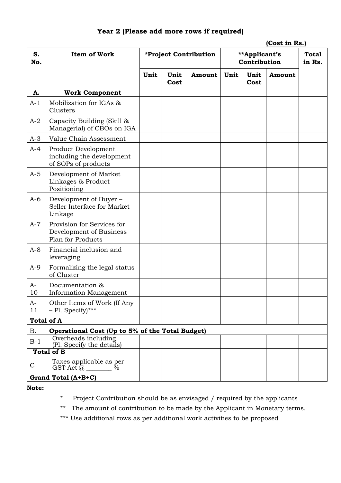| S.<br>No.    | <b>Item of Work</b>                                                        |      | *Project Contribution |        | **Applicant's<br>Contribution | <b>Total</b><br>in Rs. |        |  |
|--------------|----------------------------------------------------------------------------|------|-----------------------|--------|-------------------------------|------------------------|--------|--|
|              |                                                                            | Unit | Unit<br>Cost          | Amount | Unit                          | Unit<br>Cost           | Amount |  |
| A.           | <b>Work Component</b>                                                      |      |                       |        |                               |                        |        |  |
| $A-1$        | Mobilization for IGAs &<br>Clusters                                        |      |                       |        |                               |                        |        |  |
| $A-2$        | Capacity Building (Skill &<br>Managerial) of CBOs on IGA                   |      |                       |        |                               |                        |        |  |
| $A-3$        | Value Chain Assessment                                                     |      |                       |        |                               |                        |        |  |
| $A-4$        | Product Development<br>including the development<br>of SOPs of products    |      |                       |        |                               |                        |        |  |
| $A-5$        | Development of Market<br>Linkages & Product<br>Positioning                 |      |                       |        |                               |                        |        |  |
| $A-6$        | Development of Buyer -<br>Seller Interface for Market<br>Linkage           |      |                       |        |                               |                        |        |  |
| $A-7$        | Provision for Services for<br>Development of Business<br>Plan for Products |      |                       |        |                               |                        |        |  |
| $A-8$        | Financial inclusion and<br>leveraging                                      |      |                       |        |                               |                        |        |  |
| $A-9$        | Formalizing the legal status<br>of Cluster                                 |      |                       |        |                               |                        |        |  |
| $A-$<br>10   | Documentation &<br><b>Information Management</b>                           |      |                       |        |                               |                        |        |  |
| $A-$<br>11   | Other Items of Work (If Any<br>$-$ Pl. Specify)***                         |      |                       |        |                               |                        |        |  |
|              | <b>Total of A</b>                                                          |      |                       |        |                               |                        |        |  |
| В.           | Operational Cost (Up to 5% of the Total Budget)                            |      |                       |        |                               |                        |        |  |
| $B-1$        | Overheads including<br>(Pl. Specify the details)                           |      |                       |        |                               |                        |        |  |
|              | <b>Total of B</b>                                                          |      |                       |        |                               |                        |        |  |
| $\mathsf{C}$ | Taxes applicable as per<br>$GST$ Act $\bar{a}$<br>$\%$                     |      |                       |        |                               |                        |        |  |
|              | Grand Total (A+B+C)                                                        |      |                       |        |                               |                        |        |  |

### **Year 2 (Please add more rows if required)**

**(Cost in Rs.)**

### **Note:**

\* Project Contribution should be as envisaged / required by the applicants

\*\* The amount of contribution to be made by the Applicant in Monetary terms.

\*\*\* Use additional rows as per additional work activities to be proposed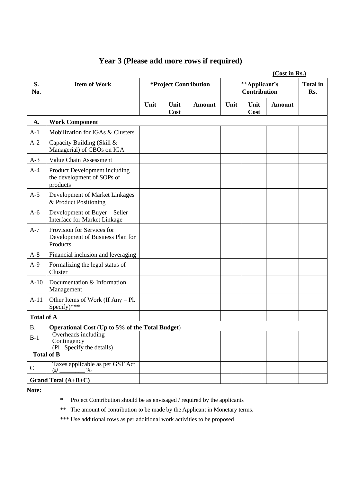## **Year 3 (Please add more rows if required)**

|                   | (Cost in Rs.)                                                              |      |                                     |               |      |                                      |               |                        |
|-------------------|----------------------------------------------------------------------------|------|-------------------------------------|---------------|------|--------------------------------------|---------------|------------------------|
| S.<br>No.         | <b>Item of Work</b>                                                        |      | <i><b>*Project Contribution</b></i> |               |      | **Applicant's<br><b>Contribution</b> |               | <b>Total in</b><br>Rs. |
|                   |                                                                            | Unit | Unit<br>Cost                        | <b>Amount</b> | Unit | Unit<br>Cost                         | <b>Amount</b> |                        |
| A.                | <b>Work Component</b>                                                      |      |                                     |               |      |                                      |               |                        |
| $A-1$             | Mobilization for IGAs & Clusters                                           |      |                                     |               |      |                                      |               |                        |
| $A-2$             | Capacity Building (Skill &<br>Managerial) of CBOs on IGA                   |      |                                     |               |      |                                      |               |                        |
| $A-3$             | Value Chain Assessment                                                     |      |                                     |               |      |                                      |               |                        |
| $A-4$             | Product Development including<br>the development of SOPs of<br>products    |      |                                     |               |      |                                      |               |                        |
| $A-5$             | Development of Market Linkages<br>& Product Positioning                    |      |                                     |               |      |                                      |               |                        |
| $A-6$             | Development of Buyer - Seller<br>Interface for Market Linkage              |      |                                     |               |      |                                      |               |                        |
| $A-7$             | Provision for Services for<br>Development of Business Plan for<br>Products |      |                                     |               |      |                                      |               |                        |
| $A-8$             | Financial inclusion and leveraging                                         |      |                                     |               |      |                                      |               |                        |
| $A-9$             | Formalizing the legal status of<br>Cluster                                 |      |                                     |               |      |                                      |               |                        |
| $A-10$            | Documentation & Information<br>Management                                  |      |                                     |               |      |                                      |               |                        |
| $A-11$            | Other Items of Work (If $Any - Pl$ .<br>$Specify$ <sup>***</sup>           |      |                                     |               |      |                                      |               |                        |
| <b>Total of A</b> |                                                                            |      |                                     |               |      |                                      |               |                        |
| B.                | Operational Cost (Up to 5% of the Total Budget)                            |      |                                     |               |      |                                      |               |                        |
| $B-1$             | Overheads including<br>Contingency<br>(Pl. Specify the details)            |      |                                     |               |      |                                      |               |                        |
|                   | <b>Total of B</b>                                                          |      |                                     |               |      |                                      |               |                        |
| ${\bf C}$         | Taxes applicable as per GST Act<br>$\omega$<br>$\%$                        |      |                                     |               |      |                                      |               |                        |
|                   | Grand Total $(A+B+C)$                                                      |      |                                     |               |      |                                      |               |                        |

**Note:**

\* Project Contribution should be as envisaged / required by the applicants

\*\* The amount of contribution to be made by the Applicant in Monetary terms.

\*\*\* Use additional rows as per additional work activities to be proposed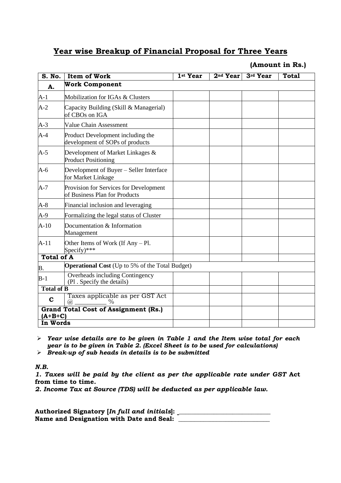### **Year wise Breakup of Financial Proposal for Three Years**

**(Amount in Rs.)**

| S. No.            | <b>Item of Work</b>                                                     | 1st Year | $2nd$ Year | 3rd Year | <b>Total</b> |  |
|-------------------|-------------------------------------------------------------------------|----------|------------|----------|--------------|--|
| A.                | <b>Work Component</b>                                                   |          |            |          |              |  |
| $A-1$             | Mobilization for IGAs & Clusters                                        |          |            |          |              |  |
| $A-2$             | Capacity Building (Skill & Managerial)<br>of CBOs on IGA                |          |            |          |              |  |
| $A-3$             | <b>Value Chain Assessment</b>                                           |          |            |          |              |  |
| $A-4$             | Product Development including the<br>development of SOPs of products    |          |            |          |              |  |
| $A-5$             | Development of Market Linkages &<br><b>Product Positioning</b>          |          |            |          |              |  |
| $A-6$             | Development of Buyer - Seller Interface<br>for Market Linkage           |          |            |          |              |  |
| $A-7$             | Provision for Services for Development<br>of Business Plan for Products |          |            |          |              |  |
| $A-8$             | Financial inclusion and leveraging                                      |          |            |          |              |  |
| A-9               | Formalizing the legal status of Cluster                                 |          |            |          |              |  |
| $A-10$            | Documentation & Information<br>Management                               |          |            |          |              |  |
| $A-11$            | Other Items of Work (If $Any - Pl$ .<br>Specify)***                     |          |            |          |              |  |
| <b>Total of A</b> |                                                                         |          |            |          |              |  |
| Β.                | <b>Operational Cost</b> (Up to 5% of the Total Budget)                  |          |            |          |              |  |
| $B-1$             | Overheads including Contingency<br>(Pl. Specify the details)            |          |            |          |              |  |
| <b>Total of B</b> |                                                                         |          |            |          |              |  |
| $\mathbf C$       | Taxes applicable as per GST Act<br>$\%$<br>(a)                          |          |            |          |              |  |
| $(A+B+C)$         | <b>Grand Total Cost of Assignment (Rs.)</b>                             |          |            |          |              |  |
| In Words          |                                                                         |          |            |          |              |  |

➢ *Year wise details are to be given in Table 1 and the Item wise total for each year is to be given in Table 2. (Excel Sheet is to be used for calculations)*

➢ *Break-up of sub heads in details is to be submitted*

*N.B.* 

*1. Taxes will be paid by the client as per the applicable rate under GST* **Act from time to time***.* 

*2. Income Tax at Source (TDS) will be deducted as per applicable law.*

**Authorized Signatory [***In full and initials***]: \_\_\_\_\_\_\_\_\_\_\_\_\_\_\_\_\_\_\_\_\_\_\_\_\_\_\_\_\_ Name and Designation with Date and Seal: \_\_\_\_\_\_\_\_\_\_\_\_\_\_\_\_\_\_\_\_\_\_\_\_\_\_\_\_\_**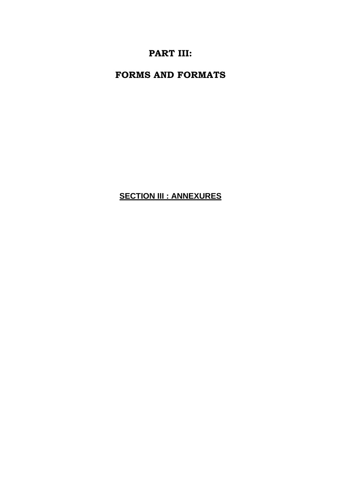## **PART III:**

**FORMS AND FORMATS**

**SECTION III : ANNEXURES**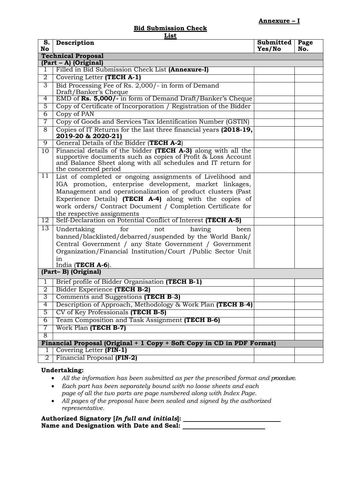#### **Annexure – I**

# **Bid Submission Check**

| <u>List</u>                                                            |                                                                                                                                                                                                                                         |                     |             |  |  |  |  |
|------------------------------------------------------------------------|-----------------------------------------------------------------------------------------------------------------------------------------------------------------------------------------------------------------------------------------|---------------------|-------------|--|--|--|--|
| S.<br>No                                                               | Description                                                                                                                                                                                                                             | Submitted<br>Yes/No | Page<br>No. |  |  |  |  |
|                                                                        | <b>Technical Proposal</b>                                                                                                                                                                                                               |                     |             |  |  |  |  |
| (Part - A) (Original)                                                  |                                                                                                                                                                                                                                         |                     |             |  |  |  |  |
| 1                                                                      | Filled in Bid Submission Check List (Annexure-I)                                                                                                                                                                                        |                     |             |  |  |  |  |
| $\overline{2}$                                                         | Covering Letter (TECH A-1)                                                                                                                                                                                                              |                     |             |  |  |  |  |
| $\overline{3}$                                                         | Bid Processing Fee of Rs. 2,000/- in form of Demand                                                                                                                                                                                     |                     |             |  |  |  |  |
|                                                                        | Draft/Banker's Cheque                                                                                                                                                                                                                   |                     |             |  |  |  |  |
| 4                                                                      | EMD of Rs. 5,000/- in form of Demand Draft/Banker's Cheque                                                                                                                                                                              |                     |             |  |  |  |  |
| 5                                                                      | Copy of Certificate of Incorporation / Registration of the Bidder                                                                                                                                                                       |                     |             |  |  |  |  |
| $\overline{6}$                                                         | Copy of PAN                                                                                                                                                                                                                             |                     |             |  |  |  |  |
| 7                                                                      | Copy of Goods and Services Tax Identification Number (GSTIN)                                                                                                                                                                            |                     |             |  |  |  |  |
| 8                                                                      | Copies of IT Returns for the last three financial years (2018-19,<br>2019-20 & 2020-21)                                                                                                                                                 |                     |             |  |  |  |  |
| $\overline{9}$                                                         | General Details of the Bidder (TECH A-2)                                                                                                                                                                                                |                     |             |  |  |  |  |
| 10                                                                     | Financial details of the bidder (TECH A-3) along with all the<br>supportive documents such as copies of Profit & Loss Account<br>and Balance Sheet along with all schedules and IT return for<br>the concerned period                   |                     |             |  |  |  |  |
| 11                                                                     | List of completed or ongoing assignments of Livelihood and                                                                                                                                                                              |                     |             |  |  |  |  |
|                                                                        | IGA promotion, enterprise development, market linkages,                                                                                                                                                                                 |                     |             |  |  |  |  |
|                                                                        | Management and operationalization of product clusters (Past                                                                                                                                                                             |                     |             |  |  |  |  |
|                                                                        | Experience Details) (TECH A-4) along with the copies of                                                                                                                                                                                 |                     |             |  |  |  |  |
|                                                                        | work orders/ Contract Document / Completion Certificate for                                                                                                                                                                             |                     |             |  |  |  |  |
|                                                                        | the respective assignments                                                                                                                                                                                                              |                     |             |  |  |  |  |
| 12                                                                     | Self-Declaration on Potential Conflict of Interest (TECH A-5)                                                                                                                                                                           |                     |             |  |  |  |  |
| $\overline{13}$                                                        | for<br>Undertaking<br>not<br>having<br>been<br>banned/blacklisted/debarred/suspended by the World Bank/<br>Central Government / any State Government / Government<br>Organization/Financial Institution/Court /Public Sector Unit<br>in |                     |             |  |  |  |  |
| India (TECH A-6).<br>(Part-B) (Original)                               |                                                                                                                                                                                                                                         |                     |             |  |  |  |  |
|                                                                        |                                                                                                                                                                                                                                         |                     |             |  |  |  |  |
| 1                                                                      | Brief profile of Bidder Organisation (TECH B-1)                                                                                                                                                                                         |                     |             |  |  |  |  |
| 2                                                                      | Bidder Experience (TECH B-2)                                                                                                                                                                                                            |                     |             |  |  |  |  |
| 3                                                                      | Comments and Suggestions (TECH B-3)                                                                                                                                                                                                     |                     |             |  |  |  |  |
| $\overline{4}$                                                         | Description of Approach, Methodology & Work Plan (TECH B-4)                                                                                                                                                                             |                     |             |  |  |  |  |
| $\overline{5}$                                                         | CV of Key Professionals (TECH B-5)                                                                                                                                                                                                      |                     |             |  |  |  |  |
| 6                                                                      | Team Composition and Task Assignment (TECH B-6)                                                                                                                                                                                         |                     |             |  |  |  |  |
| 7                                                                      | Work Plan (TECH B-7)                                                                                                                                                                                                                    |                     |             |  |  |  |  |
| 8                                                                      |                                                                                                                                                                                                                                         |                     |             |  |  |  |  |
| Financial Proposal (Original + 1 Copy + Soft Copy in CD in PDF Format) |                                                                                                                                                                                                                                         |                     |             |  |  |  |  |
| 1                                                                      | Covering Letter (FIN-1)                                                                                                                                                                                                                 |                     |             |  |  |  |  |
| $\overline{2}$                                                         | Financial Proposal (FIN-2)                                                                                                                                                                                                              |                     |             |  |  |  |  |

#### **Undertaking:**

- *All the information has been submitted as per the prescribed format and procedure.*
- *Each part has been separately bound with no loose sheets and each page of all the two parts are page numbered along with Index Page.*
- *All pages of the proposal have been sealed and signed by the authorized representative.*

**Authorized Signatory [***In full and initials***]: Name and Designation with Date and Seal:**